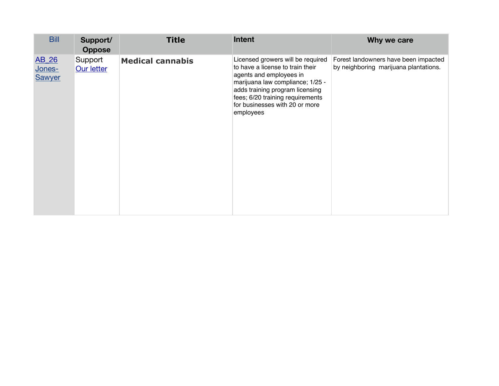| <b>Bill</b>                      | Support/<br><b>Oppose</b> | <b>Title</b>            | <b>Intent</b>                                                                                                                                                                                                                                              | Why we care                                                                   |
|----------------------------------|---------------------------|-------------------------|------------------------------------------------------------------------------------------------------------------------------------------------------------------------------------------------------------------------------------------------------------|-------------------------------------------------------------------------------|
| AB_26<br>Jones-<br><b>Sawyer</b> | Support<br>Our letter     | <b>Medical cannabis</b> | Licensed growers will be required<br>to have a license to train their<br>agents and employees in<br>marijuana law compliance; 1/25 -<br>adds training program licensing<br>fees; 6/20 training requirements<br>for businesses with 20 or more<br>employees | Forest landowners have been impacted<br>by neighboring marijuana plantations. |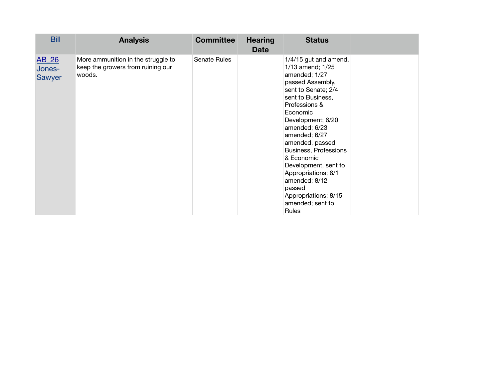| <b>Bill</b>                      | <b>Analysis</b>                                                                   | <b>Committee</b> | <b>Hearing</b><br><b>Date</b> | <b>Status</b>                                                                                                                                                                                                                                                                                                                                                                                           |  |
|----------------------------------|-----------------------------------------------------------------------------------|------------------|-------------------------------|---------------------------------------------------------------------------------------------------------------------------------------------------------------------------------------------------------------------------------------------------------------------------------------------------------------------------------------------------------------------------------------------------------|--|
| AB_26<br>Jones-<br><b>Sawyer</b> | More ammunition in the struggle to<br>keep the growers from ruining our<br>woods. | Senate Rules     |                               | 1/4/15 gut and amend.<br>1/13 amend; 1/25<br>amended; 1/27<br>passed Assembly,<br>sent to Senate; 2/4<br>sent to Business,<br>Professions &<br>Economic<br>Development; 6/20<br>amended; 6/23<br>amended; 6/27<br>amended, passed<br>Business, Professions<br>& Economic<br>Development, sent to<br>Appropriations; 8/1<br>amended; 8/12<br>passed<br>Appropriations; 8/15<br>amended; sent to<br>Rules |  |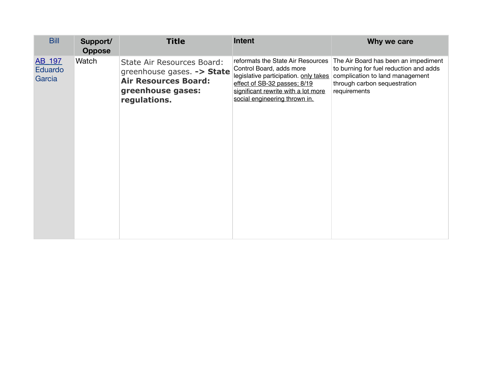| <b>Bill</b><br>Support/<br><b>Oppose</b> | <b>Title</b>                                                                                                                 | <b>Intent</b>                                                                                                                                                                                                  | Why we care                                                                                                                                                       |
|------------------------------------------|------------------------------------------------------------------------------------------------------------------------------|----------------------------------------------------------------------------------------------------------------------------------------------------------------------------------------------------------------|-------------------------------------------------------------------------------------------------------------------------------------------------------------------|
| Watch<br>AB_197<br>Eduardo<br>Garcia     | State Air Resources Board:<br>greenhouse gases. -> State<br><b>Air Resources Board:</b><br>greenhouse gases:<br>regulations. | reformats the State Air Resources<br>Control Board, adds more<br>legislative participation. only takes<br>effect of SB-32 passes; 8/19<br>significant rewrite with a lot more<br>social engineering thrown in. | The Air Board has been an impediment<br>to burning for fuel reduction and adds<br>complication to land management<br>through carbon sequestration<br>requirements |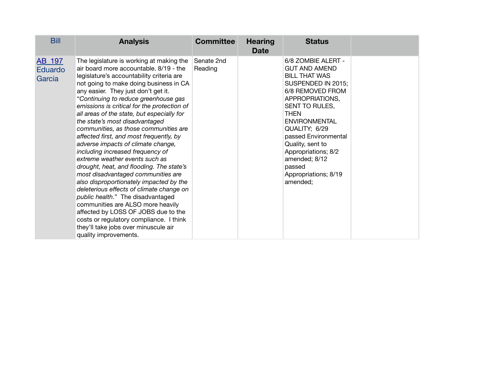| <b>Bill</b>                 | <b>Analysis</b>                                                                                                                                                                                                                                                                                                                                                                                                                                                                                                                                                                                                                                                                                                                                                                                                                                                                                                                                                                               | <b>Committee</b>      | <b>Hearing</b><br><b>Date</b> | <b>Status</b>                                                                                                                                                                                                                                                                                                                               |  |
|-----------------------------|-----------------------------------------------------------------------------------------------------------------------------------------------------------------------------------------------------------------------------------------------------------------------------------------------------------------------------------------------------------------------------------------------------------------------------------------------------------------------------------------------------------------------------------------------------------------------------------------------------------------------------------------------------------------------------------------------------------------------------------------------------------------------------------------------------------------------------------------------------------------------------------------------------------------------------------------------------------------------------------------------|-----------------------|-------------------------------|---------------------------------------------------------------------------------------------------------------------------------------------------------------------------------------------------------------------------------------------------------------------------------------------------------------------------------------------|--|
| AB 197<br>Eduardo<br>Garcia | The legislature is working at making the<br>air board more accountable, 8/19 - the<br>legislature's accountability criteria are<br>not going to make doing business in CA<br>any easier. They just don't get it.<br>"Continuing to reduce greenhouse gas<br>emissions is critical for the protection of<br>all areas of the state, but especially for<br>the state's most disadvantaged<br>communities, as those communities are<br>affected first, and most frequently, by<br>adverse impacts of climate change,<br>including increased frequency of<br>extreme weather events such as<br>drought, heat, and flooding. The state's<br>most disadvantaged communities are<br>also disproportionately impacted by the<br>deleterious effects of climate change on<br>public health." The disadvantaged<br>communities are ALSO more heavily<br>affected by LOSS OF JOBS due to the<br>costs or regulatory compliance. I think<br>they'll take jobs over minuscule air<br>quality improvements. | Senate 2nd<br>Reading |                               | 6/8 ZOMBIE ALERT -<br><b>GUT AND AMEND</b><br><b>BILL THAT WAS</b><br>SUSPENDED IN 2015;<br>6/8 REMOVED FROM<br>APPROPRIATIONS,<br>SENT TO RULES,<br><b>THEN</b><br><b>ENVIRONMENTAL</b><br>QUALITY; 6/29<br>passed Environmental<br>Quality, sent to<br>Appropriations; 8/2<br>amended; 8/12<br>passed<br>Appropriations; 8/19<br>amended; |  |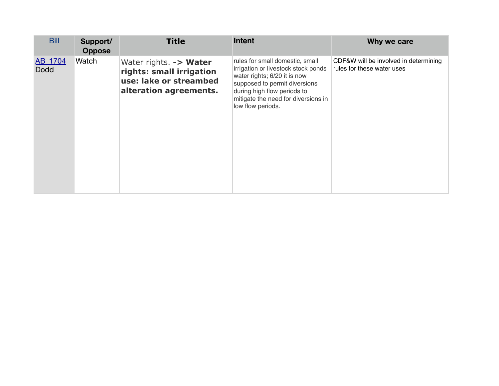| <b>Bill</b>            | Support/<br><b>Oppose</b> | <b>Title</b>                                                                                           | <b>Intent</b>                                                                                                                                                                                                                      | Why we care                                                         |
|------------------------|---------------------------|--------------------------------------------------------------------------------------------------------|------------------------------------------------------------------------------------------------------------------------------------------------------------------------------------------------------------------------------------|---------------------------------------------------------------------|
| AB_1704<br><b>Dodd</b> | Watch                     | Water rights. -> Water<br>rights: small irrigation<br>use: lake or streambed<br>alteration agreements. | rules for small domestic, small<br>irrigation or livestock stock ponds<br>water rights; 6/20 it is now<br>supposed to permit diversions<br>during high flow periods to<br>mitigate the need for diversions in<br>low flow periods. | CDF&W will be involved in determining<br>rules for these water uses |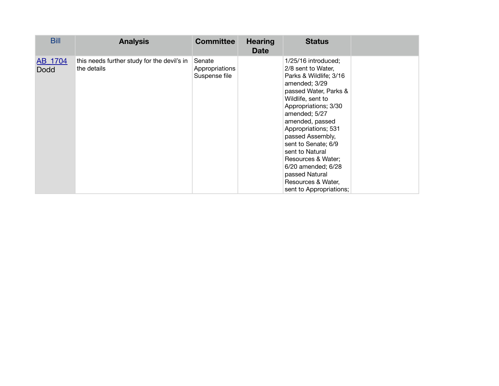| <b>Bill</b>            | <b>Analysis</b>                                            | <b>Committee</b>                          | <b>Hearing</b><br><b>Date</b> | <b>Status</b>                                                                                                                                                                                                                                                                                                                                                                                      |  |
|------------------------|------------------------------------------------------------|-------------------------------------------|-------------------------------|----------------------------------------------------------------------------------------------------------------------------------------------------------------------------------------------------------------------------------------------------------------------------------------------------------------------------------------------------------------------------------------------------|--|
| AB_1704<br><b>Dodd</b> | this needs further study for the devil's in<br>the details | Senate<br>Appropriations<br>Suspense file |                               | 1/25/16 introduced;<br>2/8 sent to Water,<br>Parks & Wildlife; 3/16<br>amended; 3/29<br>passed Water, Parks &<br>Wildlife, sent to<br>Appropriations; 3/30<br>amended; 5/27<br>amended, passed<br>Appropriations; 531<br>passed Assembly,<br>sent to Senate; 6/9<br>sent to Natural<br>Resources & Water;<br>6/20 amended; 6/28<br>passed Natural<br>Resources & Water,<br>sent to Appropriations; |  |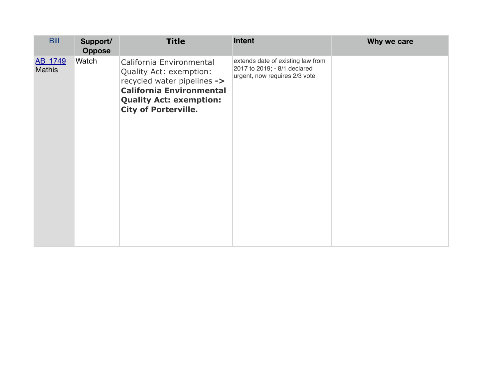| <b>Bill</b>       | Support/<br><b>Oppose</b> | <b>Title</b>                                                                                                                                                                           | Intent                                                                                             | Why we care |
|-------------------|---------------------------|----------------------------------------------------------------------------------------------------------------------------------------------------------------------------------------|----------------------------------------------------------------------------------------------------|-------------|
| AB_1749<br>Mathis | Watch                     | California Environmental<br>Quality Act: exemption:<br>recycled water pipelines -><br><b>California Environmental</b><br><b>Quality Act: exemption:</b><br><b>City of Porterville.</b> | extends date of existing law from<br>2017 to 2019; - 8/1 declared<br>urgent, now requires 2/3 vote |             |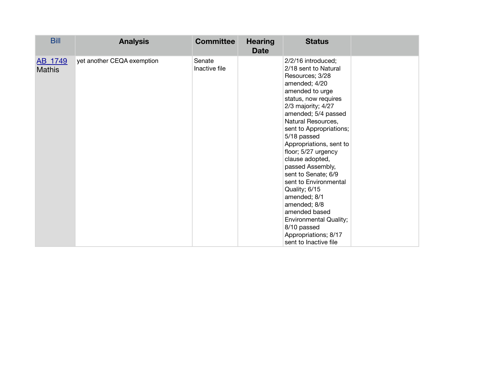| <b>Bill</b>              | <b>Analysis</b>            | <b>Committee</b>        | <b>Hearing</b><br><b>Date</b> | <b>Status</b>                                                                                                                                                                                                                                                                                                                                                                                                                                                                                                                                      |  |
|--------------------------|----------------------------|-------------------------|-------------------------------|----------------------------------------------------------------------------------------------------------------------------------------------------------------------------------------------------------------------------------------------------------------------------------------------------------------------------------------------------------------------------------------------------------------------------------------------------------------------------------------------------------------------------------------------------|--|
| AB_1749<br><b>Mathis</b> | yet another CEQA exemption | Senate<br>Inactive file |                               | 2/2/16 introduced;<br>2/18 sent to Natural<br>Resources; 3/28<br>amended; 4/20<br>amended to urge<br>status, now requires<br>2/3 majority; 4/27<br>amended; 5/4 passed<br>Natural Resources,<br>sent to Appropriations;<br>5/18 passed<br>Appropriations, sent to<br>floor; 5/27 urgency<br>clause adopted,<br>passed Assembly,<br>sent to Senate; 6/9<br>sent to Environmental<br>Quality; 6/15<br>amended; 8/1<br>amended; 8/8<br>amended based<br><b>Environmental Quality;</b><br>8/10 passed<br>Appropriations; 8/17<br>sent to Inactive file |  |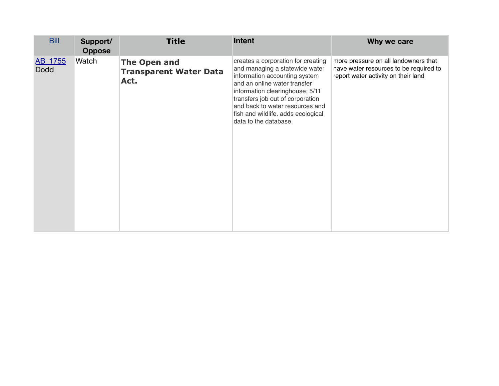| <b>Bill</b>            | Support/<br><b>Oppose</b> | <b>Title</b>                                          | Intent                                                                                                                                                                                                                                                                                                         | Why we care                                                                                                           |
|------------------------|---------------------------|-------------------------------------------------------|----------------------------------------------------------------------------------------------------------------------------------------------------------------------------------------------------------------------------------------------------------------------------------------------------------------|-----------------------------------------------------------------------------------------------------------------------|
| AB_1755<br><b>Dodd</b> | Watch                     | The Open and<br><b>Transparent Water Data</b><br>Act. | creates a corporation for creating<br>and managing a statewide water<br>information accounting system<br>and an online water transfer<br>information clearinghouse; 5/11<br>transfers job out of corporation<br>and back to water resources and<br>fish and wildlife. adds ecological<br>data to the database. | more pressure on all landowners that<br>have water resources to be required to<br>report water activity on their land |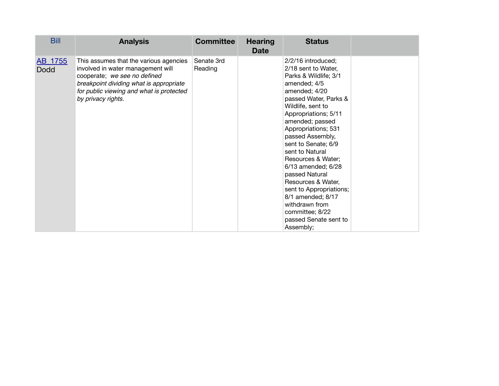| <b>Bill</b>            | <b>Analysis</b>                                                                                                                                                                                                          | <b>Committee</b>      | <b>Hearing</b><br><b>Date</b> | <b>Status</b>                                                                                                                                                                                                                                                                                                                                                                                                                                                                                    |  |
|------------------------|--------------------------------------------------------------------------------------------------------------------------------------------------------------------------------------------------------------------------|-----------------------|-------------------------------|--------------------------------------------------------------------------------------------------------------------------------------------------------------------------------------------------------------------------------------------------------------------------------------------------------------------------------------------------------------------------------------------------------------------------------------------------------------------------------------------------|--|
| AB_1755<br><b>Dodd</b> | This assumes that the various agencies<br>involved in water management will<br>cooperate; we see no defined<br>breakpoint dividing what is appropriate<br>for public viewing and what is protected<br>by privacy rights. | Senate 3rd<br>Reading |                               | 2/2/16 introduced;<br>2/18 sent to Water,<br>Parks & Wildlife; 3/1<br>amended; 4/5<br>amended; 4/20<br>passed Water, Parks &<br>Wildlife, sent to<br>Appropriations; 5/11<br>amended; passed<br>Appropriations; 531<br>passed Assembly,<br>sent to Senate; 6/9<br>sent to Natural<br>Resources & Water;<br>6/13 amended; 6/28<br>passed Natural<br>Resources & Water,<br>sent to Appropriations;<br>8/1 amended; 8/17<br>withdrawn from<br>committee; 8/22<br>passed Senate sent to<br>Assembly; |  |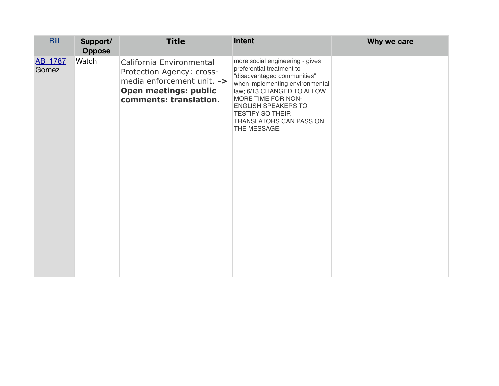| <b>Bill</b>      | Support/<br><b>Oppose</b> | <b>Title</b>                                                                                                                                  | Intent                                                                                                                                                                                                                                                                                 | Why we care |
|------------------|---------------------------|-----------------------------------------------------------------------------------------------------------------------------------------------|----------------------------------------------------------------------------------------------------------------------------------------------------------------------------------------------------------------------------------------------------------------------------------------|-------------|
| AB_1787<br>Gomez | Watch                     | California Environmental<br>Protection Agency: cross-<br>media enforcement unit. -><br><b>Open meetings: public</b><br>comments: translation. | more social engineering - gives<br>preferential treatment to<br>"disadvantaged communities"<br>when implementing environmental<br>law; 6/13 CHANGED TO ALLOW<br>MORE TIME FOR NON-<br><b>ENGLISH SPEAKERS TO</b><br><b>TESTIFY SO THEIR</b><br>TRANSLATORS CAN PASS ON<br>THE MESSAGE. |             |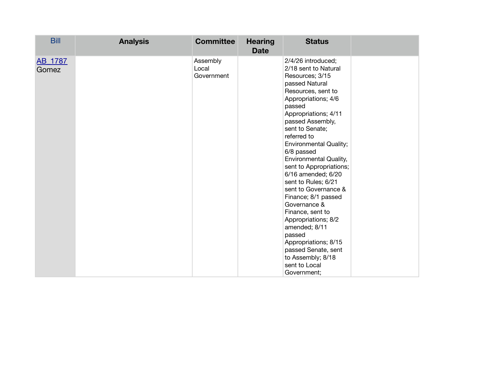| <b>Bill</b>      | <b>Analysis</b> | <b>Committee</b>                | <b>Hearing</b><br><b>Date</b> | <b>Status</b>                                                                                                                                                                                                                                                                                                                                                                                                                                                                                                                                                                                                  |  |
|------------------|-----------------|---------------------------------|-------------------------------|----------------------------------------------------------------------------------------------------------------------------------------------------------------------------------------------------------------------------------------------------------------------------------------------------------------------------------------------------------------------------------------------------------------------------------------------------------------------------------------------------------------------------------------------------------------------------------------------------------------|--|
| AB_1787<br>Gomez |                 | Assembly<br>Local<br>Government |                               | 2/4/26 introduced;<br>2/18 sent to Natural<br>Resources; 3/15<br>passed Natural<br>Resources, sent to<br>Appropriations; 4/6<br>passed<br>Appropriations; 4/11<br>passed Assembly,<br>sent to Senate;<br>referred to<br><b>Environmental Quality;</b><br>6/8 passed<br>Environmental Quality,<br>sent to Appropriations;<br>6/16 amended; 6/20<br>sent to Rules; 6/21<br>sent to Governance &<br>Finance; 8/1 passed<br>Governance &<br>Finance, sent to<br>Appropriations; 8/2<br>amended; 8/11<br>passed<br>Appropriations; 8/15<br>passed Senate, sent<br>to Assembly; 8/18<br>sent to Local<br>Government; |  |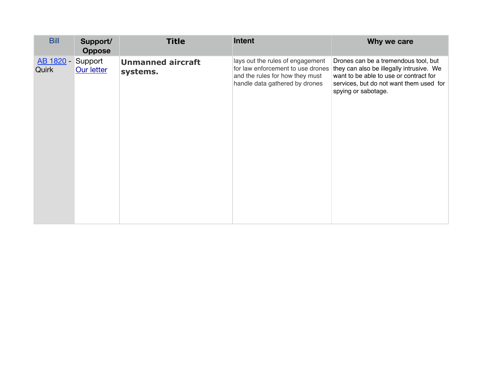| <b>Bill</b><br>Support/<br><b>Oppose</b>        | <b>Title</b>                         | <b>Intent</b>                                                                                                                              | Why we care                                                                                                                                                                                  |
|-------------------------------------------------|--------------------------------------|--------------------------------------------------------------------------------------------------------------------------------------------|----------------------------------------------------------------------------------------------------------------------------------------------------------------------------------------------|
| <b>AB 1820 - Support</b><br>Quirk<br>Our letter | <b>Unmanned aircraft</b><br>systems. | lays out the rules of engagement<br>for law enforcement to use drones<br>and the rules for how they must<br>handle data gathered by drones | Drones can be a tremendous tool, but<br>they can also be illegally intrusive. We<br>want to be able to use or contract for<br>services, but do not want them used for<br>spying or sabotage. |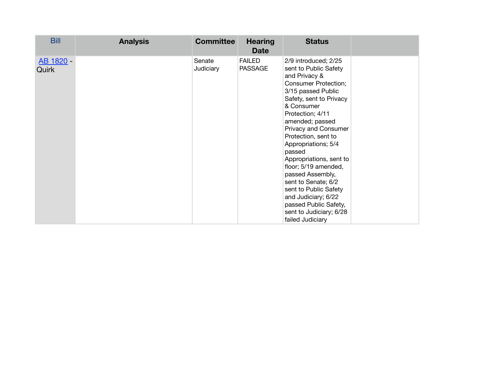| <b>Bill</b>        | <b>Analysis</b> | <b>Committee</b>    | <b>Hearing</b><br><b>Date</b>   | <b>Status</b>                                                                                                                                                                                                                                                                                                                                                                                                                                                                                             |  |
|--------------------|-----------------|---------------------|---------------------------------|-----------------------------------------------------------------------------------------------------------------------------------------------------------------------------------------------------------------------------------------------------------------------------------------------------------------------------------------------------------------------------------------------------------------------------------------------------------------------------------------------------------|--|
| AB 1820 -<br>Quirk |                 | Senate<br>Judiciary | <b>FAILED</b><br><b>PASSAGE</b> | 2/9 introduced; 2/25<br>sent to Public Safety<br>and Privacy &<br><b>Consumer Protection;</b><br>3/15 passed Public<br>Safety, sent to Privacy<br>& Consumer<br>Protection; 4/11<br>amended; passed<br>Privacy and Consumer<br>Protection, sent to<br>Appropriations; 5/4<br>passed<br>Appropriations, sent to<br>floor; 5/19 amended,<br>passed Assembly,<br>sent to Senate; 6/2<br>sent to Public Safety<br>and Judiciary; 6/22<br>passed Public Safety,<br>sent to Judiciary; 6/28<br>failed Judiciary |  |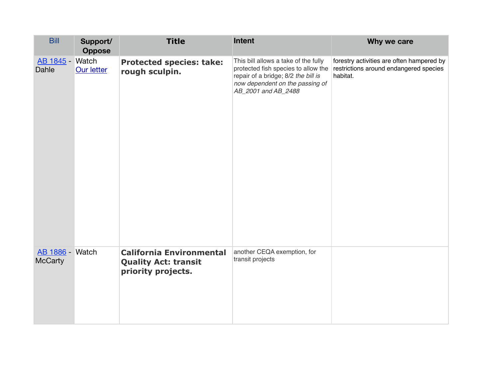| <b>Bill</b>                              | Support/<br><b>Oppose</b> | <b>Title</b>                                                                         | Intent                                                                                                                                                                       | Why we care                                                                                     |
|------------------------------------------|---------------------------|--------------------------------------------------------------------------------------|------------------------------------------------------------------------------------------------------------------------------------------------------------------------------|-------------------------------------------------------------------------------------------------|
| AB 1845 - Watch<br>Dahle                 | Our letter                | <b>Protected species: take:</b><br>rough sculpin.                                    | This bill allows a take of the fully<br>protected fish species to allow the<br>repair of a bridge; 8/2 the bill is<br>now dependent on the passing of<br>AB_2001 and AB_2488 | forestry activities are often hampered by<br>restrictions around endangered species<br>habitat. |
| <b>AB 1886 - Watch</b><br><b>McCarty</b> |                           | <b>California Environmental</b><br><b>Quality Act: transit</b><br>priority projects. | another CEQA exemption, for<br>transit projects                                                                                                                              |                                                                                                 |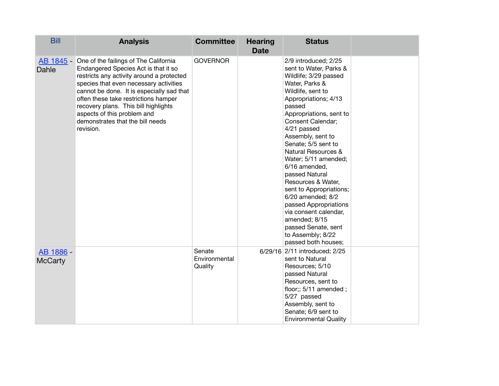| <b>Bill</b>                 | <b>Analysis</b>                                                                                                                                                                                                                                                                                                                                                                             | <b>Committee</b>                   | <b>Hearing</b><br><b>Date</b> | <b>Status</b>                                                                                                                                                                                                                                                                                                                                                                                                                                                                                                                                             |  |
|-----------------------------|---------------------------------------------------------------------------------------------------------------------------------------------------------------------------------------------------------------------------------------------------------------------------------------------------------------------------------------------------------------------------------------------|------------------------------------|-------------------------------|-----------------------------------------------------------------------------------------------------------------------------------------------------------------------------------------------------------------------------------------------------------------------------------------------------------------------------------------------------------------------------------------------------------------------------------------------------------------------------------------------------------------------------------------------------------|--|
| Dahle                       | AB 1845 - One of the failings of The California<br>Endangered Species Act is that it so<br>restricts any activity around a protected<br>species that even necessary activities<br>cannot be done. It is especially sad that<br>often these take restrictions hamper<br>recovery plans. This bill highlights<br>aspects of this problem and<br>demonstrates that the bill needs<br>revision. | <b>GOVERNOR</b>                    |                               | 2/9 introduced; 2/25<br>sent to Water, Parks &<br>Wildlife; 3/29 passed<br>Water, Parks &<br>Wildlife, sent to<br>Appropriations; 4/13<br>passed<br>Appropriations, sent to<br>Consent Calendar;<br>4/21 passed<br>Assembly, sent to<br>Senate; 5/5 sent to<br>Natural Resources &<br>Water; 5/11 amended;<br>6/16 amended,<br>passed Natural<br>Resources & Water,<br>sent to Appropriations;<br>6/20 amended; 8/2<br>passed Appropriations<br>via consent calendar,<br>amended; 8/15<br>passed Senate, sent<br>to Assembly; 8/22<br>passed both houses; |  |
| AB 1886 -<br><b>McCarty</b> |                                                                                                                                                                                                                                                                                                                                                                                             | Senate<br>Environmental<br>Quality |                               | 6/29/16 2/11 introduced; 2/25<br>sent to Natural<br>Resources; 5/10<br>passed Natural<br>Resources, sent to<br>floor;; 5/11 amended;<br>5/27 passed<br>Assembly, sent to<br>Senate; 6/9 sent to<br><b>Environmental Quality</b>                                                                                                                                                                                                                                                                                                                           |  |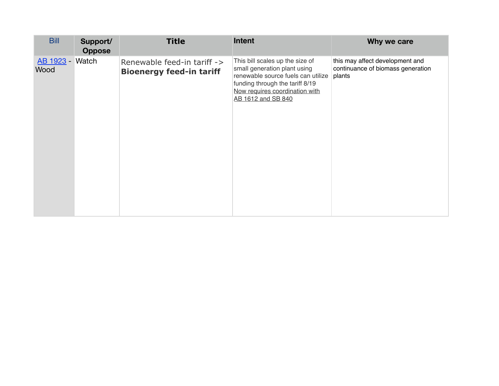| <b>Bill</b>             | Support/<br><b>Oppose</b> | <b>Title</b>                                                   | <b>Intent</b>                                                                                                                                                                                    | Why we care                                                                    |
|-------------------------|---------------------------|----------------------------------------------------------------|--------------------------------------------------------------------------------------------------------------------------------------------------------------------------------------------------|--------------------------------------------------------------------------------|
| AB 1923 - Watch<br>Wood |                           | Renewable feed-in tariff -><br><b>Bioenergy feed-in tariff</b> | This bill scales up the size of<br>small generation plant using<br>renewable source fuels can utilize<br>funding through the tariff 8/19<br>Now requires coordination with<br>AB 1612 and SB 840 | this may affect development and<br>continuance of biomass generation<br>plants |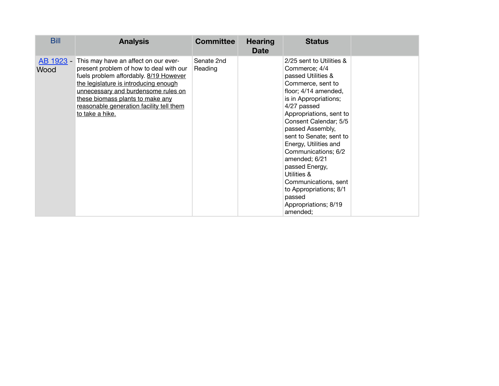| <b>Bill</b>       | <b>Analysis</b>                                                                                                                                                                                                                                                                                              | <b>Committee</b>      | <b>Hearing</b><br><b>Date</b> | <b>Status</b>                                                                                                                                                                                                                                                                                                                                                                                                                                             |  |
|-------------------|--------------------------------------------------------------------------------------------------------------------------------------------------------------------------------------------------------------------------------------------------------------------------------------------------------------|-----------------------|-------------------------------|-----------------------------------------------------------------------------------------------------------------------------------------------------------------------------------------------------------------------------------------------------------------------------------------------------------------------------------------------------------------------------------------------------------------------------------------------------------|--|
| AB 1923 -<br>Wood | This may have an affect on our ever-<br>present problem of how to deal with our<br>fuels problem affordably. 8/19 However<br>the legislature is introducing enough<br>unnecessary and burdensome rules on<br>these biomass plants to make any<br>reasonable generation facility tell them<br>to take a hike. | Senate 2nd<br>Reading |                               | 2/25 sent to Utilities &<br>Commerce; 4/4<br>passed Utilities &<br>Commerce, sent to<br>floor; 4/14 amended,<br>is in Appropriations;<br>4/27 passed<br>Appropriations, sent to<br>Consent Calendar; 5/5<br>passed Assembly,<br>sent to Senate; sent to<br>Energy, Utilities and<br>Communications; 6/2<br>amended; 6/21<br>passed Energy,<br>Utilities &<br>Communications, sent<br>to Appropriations; 8/1<br>passed<br>Appropriations; 8/19<br>amended; |  |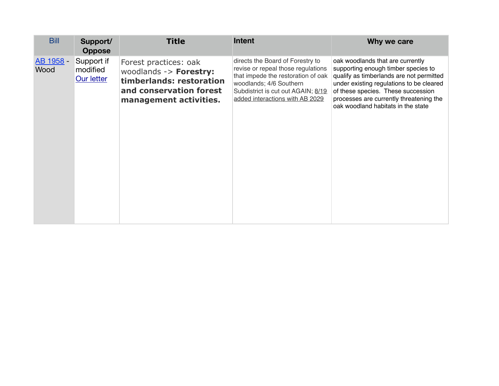| <b>Bill</b>       | Support/<br><b>Oppose</b>            | <b>Title</b>                                                                                                                     | Intent                                                                                                                                                                                                           | Why we care                                                                                                                                                                                                                                                                            |
|-------------------|--------------------------------------|----------------------------------------------------------------------------------------------------------------------------------|------------------------------------------------------------------------------------------------------------------------------------------------------------------------------------------------------------------|----------------------------------------------------------------------------------------------------------------------------------------------------------------------------------------------------------------------------------------------------------------------------------------|
| AB 1958 -<br>Wood | Support if<br>modified<br>Our letter | Forest practices: oak<br>woodlands -> Forestry:<br>timberlands: restoration<br>and conservation forest<br>management activities. | directs the Board of Forestry to<br>revise or repeal those regulations<br>that impede the restoration of oak<br>woodlands; 4/6 Southern<br>Subdistrict is cut out AGAIN; 8/19<br>added interactions with AB 2029 | oak woodlands that are currently<br>supporting enough timber species to<br>qualify as timberlands are not permitted<br>under existing regulations to be cleared<br>of these species. These succession<br>processes are currently threatening the<br>oak woodland habitats in the state |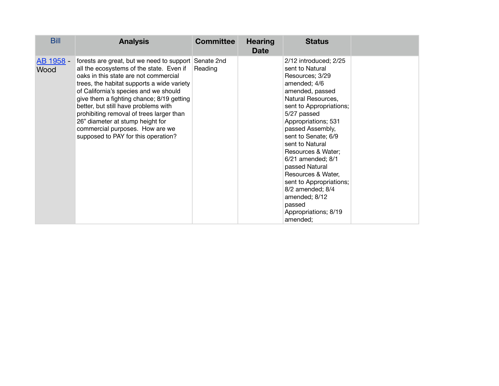| <b>Bill</b>       | <b>Analysis</b>                                                                                                                                                                                                                                                                                                                                                                                                                                                      | <b>Committee</b>      | <b>Hearing</b><br><b>Date</b> | <b>Status</b>                                                                                                                                                                                                                                                                                                                                                                                                                                            |  |
|-------------------|----------------------------------------------------------------------------------------------------------------------------------------------------------------------------------------------------------------------------------------------------------------------------------------------------------------------------------------------------------------------------------------------------------------------------------------------------------------------|-----------------------|-------------------------------|----------------------------------------------------------------------------------------------------------------------------------------------------------------------------------------------------------------------------------------------------------------------------------------------------------------------------------------------------------------------------------------------------------------------------------------------------------|--|
| AB 1958 -<br>Wood | forests are great, but we need to support<br>all the ecosystems of the state. Even if<br>oaks in this state are not commercial<br>trees, the habitat supports a wide variety<br>of California's species and we should<br>give them a fighting chance; 8/19 getting<br>better, but still have problems with<br>prohibiting removal of trees larger than<br>26" diameter at stump height for<br>commercial purposes. How are we<br>supposed to PAY for this operation? | Senate 2nd<br>Reading |                               | 2/12 introduced; 2/25<br>sent to Natural<br>Resources; 3/29<br>amended; 4/6<br>amended, passed<br>Natural Resources,<br>sent to Appropriations;<br>5/27 passed<br>Appropriations; 531<br>passed Assembly,<br>sent to Senate; 6/9<br>sent to Natural<br>Resources & Water;<br>6/21 amended; 8/1<br>passed Natural<br>Resources & Water,<br>sent to Appropriations;<br>$8/2$ amended; $8/4$<br>amended; 8/12<br>passed<br>Appropriations; 8/19<br>amended; |  |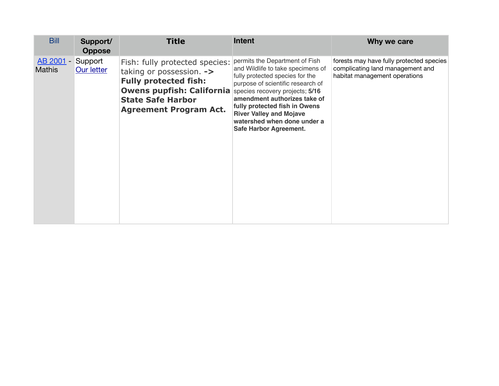| <b>Bill</b>                | Support/<br><b>Oppose</b>    | <b>Title</b>                                                                                                                                                                                | <b>Intent</b>                                                                                                                                                                                                                                                                                                                              | Why we care                                                                                                   |
|----------------------------|------------------------------|---------------------------------------------------------------------------------------------------------------------------------------------------------------------------------------------|--------------------------------------------------------------------------------------------------------------------------------------------------------------------------------------------------------------------------------------------------------------------------------------------------------------------------------------------|---------------------------------------------------------------------------------------------------------------|
| AB 2001 -<br><b>Mathis</b> | Support<br><b>Our letter</b> | Fish: fully protected species:<br>taking or possession. -><br><b>Fully protected fish:</b><br><b>Owens pupfish: California</b><br><b>State Safe Harbor</b><br><b>Agreement Program Act.</b> | permits the Department of Fish<br>and Wildlife to take specimens of<br>fully protected species for the<br>purpose of scientific research of<br>species recovery projects; 5/16<br>amendment authorizes take of<br>fully protected fish in Owens<br><b>River Valley and Mojave</b><br>watershed when done under a<br>Safe Harbor Agreement. | forests may have fully protected species<br>complicating land management and<br>habitat management operations |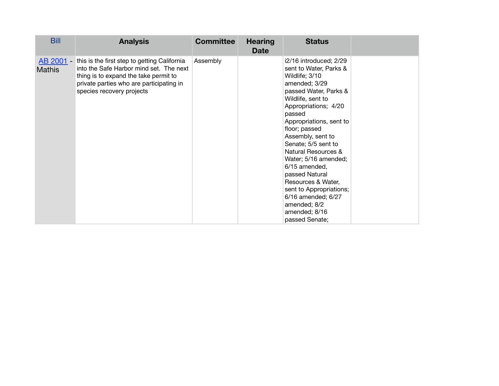| <b>Bill</b>                | <b>Analysis</b>                                                                                                                                                                                           | <b>Committee</b> | <b>Hearing</b><br><b>Date</b> | <b>Status</b>                                                                                                                                                                                                                                                                                                                                                                                                                                                                      |  |
|----------------------------|-----------------------------------------------------------------------------------------------------------------------------------------------------------------------------------------------------------|------------------|-------------------------------|------------------------------------------------------------------------------------------------------------------------------------------------------------------------------------------------------------------------------------------------------------------------------------------------------------------------------------------------------------------------------------------------------------------------------------------------------------------------------------|--|
| AB 2001 -<br><b>Mathis</b> | this is the first step to getting California<br>into the Safe Harbor mind set. The next<br>thing is to expand the take permit to<br>private parties who are participating in<br>species recovery projects | Assembly         |                               | i2/16 introduced; 2/29<br>sent to Water, Parks &<br>Wildlife; 3/10<br>amended; 3/29<br>passed Water, Parks &<br>Wildlife, sent to<br>Appropriations; 4/20<br>passed<br>Appropriations, sent to<br>floor; passed<br>Assembly, sent to<br>Senate; 5/5 sent to<br><b>Natural Resources &amp;</b><br>Water; 5/16 amended;<br>6/15 amended,<br>passed Natural<br>Resources & Water,<br>sent to Appropriations;<br>6/16 amended; 6/27<br>amended; 8/2<br>amended; 8/16<br>passed Senate; |  |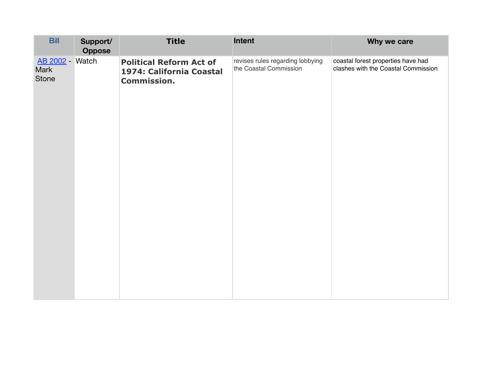| <b>Bill</b>                                    | Support/<br><b>Oppose</b> | <b>Title</b>                                                                     | Intent                                                     | Why we care                                                               |
|------------------------------------------------|---------------------------|----------------------------------------------------------------------------------|------------------------------------------------------------|---------------------------------------------------------------------------|
| <b>AB 2002 - Watch</b><br>Mark<br><b>Stone</b> |                           | <b>Political Reform Act of</b><br>1974: California Coastal<br><b>Commission.</b> | revises rules regarding lobbying<br>the Coastal Commission | coastal forest properties have had<br>clashes with the Coastal Commission |
|                                                |                           |                                                                                  |                                                            |                                                                           |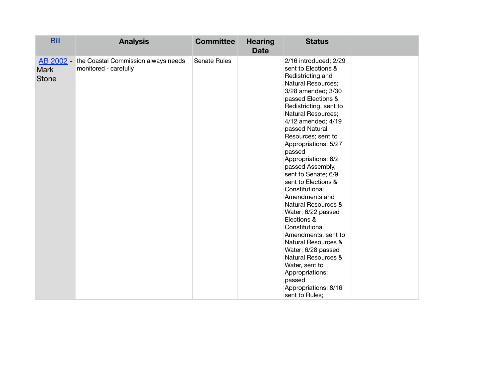| <b>Bill</b>                 | <b>Analysis</b>                                                        | <b>Committee</b> | <b>Hearing</b><br><b>Date</b> | <b>Status</b>                                                                                                                                                                                                                                                                                                                                                                                                                                                                                                                                                                                                                                                                                                   |  |
|-----------------------------|------------------------------------------------------------------------|------------------|-------------------------------|-----------------------------------------------------------------------------------------------------------------------------------------------------------------------------------------------------------------------------------------------------------------------------------------------------------------------------------------------------------------------------------------------------------------------------------------------------------------------------------------------------------------------------------------------------------------------------------------------------------------------------------------------------------------------------------------------------------------|--|
| <b>Mark</b><br><b>Stone</b> | AB 2002 - the Coastal Commission always needs<br>monitored - carefully | Senate Rules     |                               | 2/16 introduced; 2/29<br>sent to Elections &<br>Redistricting and<br>Natural Resources;<br>3/28 amended; 3/30<br>passed Elections &<br>Redistricting, sent to<br><b>Natural Resources;</b><br>4/12 amended; 4/19<br>passed Natural<br>Resources; sent to<br>Appropriations; 5/27<br>passed<br>Appropriations; 6/2<br>passed Assembly,<br>sent to Senate; 6/9<br>sent to Elections &<br>Constitutional<br>Amendments and<br><b>Natural Resources &amp;</b><br>Water; 6/22 passed<br>Elections &<br>Constitutional<br>Amendments, sent to<br><b>Natural Resources &amp;</b><br>Water; 6/28 passed<br>Natural Resources &<br>Water, sent to<br>Appropriations;<br>passed<br>Appropriations; 8/16<br>sent to Rules; |  |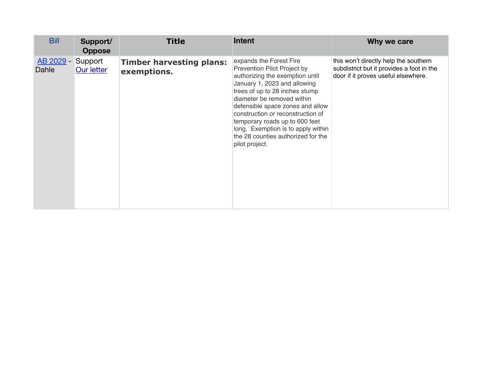| <b>Bill</b>        | Support/<br><b>Oppose</b>    | <b>Title</b>                                   | <b>Intent</b>                                                                                                                                                                                                                                                                                                                                                                                      | Why we care                                                                                                               |
|--------------------|------------------------------|------------------------------------------------|----------------------------------------------------------------------------------------------------------------------------------------------------------------------------------------------------------------------------------------------------------------------------------------------------------------------------------------------------------------------------------------------------|---------------------------------------------------------------------------------------------------------------------------|
| AB 2029 -<br>Dahle | Support<br><b>Our letter</b> | <b>Timber harvesting plans:</b><br>exemptions. | expands the Forest Fire<br>Prevention Pilot Project by<br>authorizing the exemption until<br>January 1, 2023 and allowing<br>trees of up to 28 inches stump<br>diameter be removed within<br>defensible space zones and allow<br>construction or reconstruction of<br>temporary roads up to 600 feet<br>long. Exemption is to apply within<br>the 28 counties authorized for the<br>pilot project. | this won't directly help the southern<br>subdistrict but it provides a foot in the<br>door if it proves useful elsewhere. |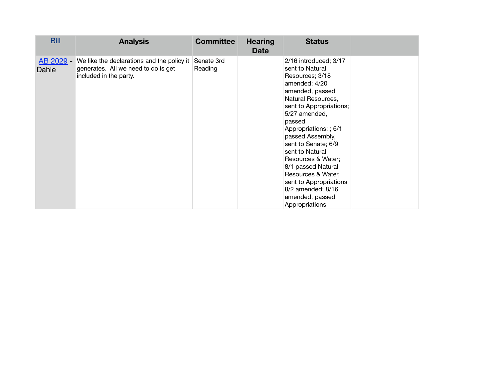| <b>Bill</b>        | <b>Analysis</b>                                                                                             | <b>Committee</b>      | <b>Hearing</b><br><b>Date</b> | <b>Status</b>                                                                                                                                                                                                                                                                                                                                                                                                            |  |
|--------------------|-------------------------------------------------------------------------------------------------------------|-----------------------|-------------------------------|--------------------------------------------------------------------------------------------------------------------------------------------------------------------------------------------------------------------------------------------------------------------------------------------------------------------------------------------------------------------------------------------------------------------------|--|
| AB 2029 -<br>Dahle | We like the declarations and the policy it<br>generates. All we need to do is get<br>included in the party. | Senate 3rd<br>Reading |                               | 2/16 introduced; 3/17<br>sent to Natural<br>Resources; 3/18<br>amended; 4/20<br>amended, passed<br>Natural Resources,<br>sent to Appropriations;<br>5/27 amended,<br>passed<br>Appropriations; ; 6/1<br>passed Assembly,<br>sent to Senate; 6/9<br>sent to Natural<br>Resources & Water;<br>8/1 passed Natural<br>Resources & Water,<br>sent to Appropriations<br>8/2 amended; 8/16<br>amended, passed<br>Appropriations |  |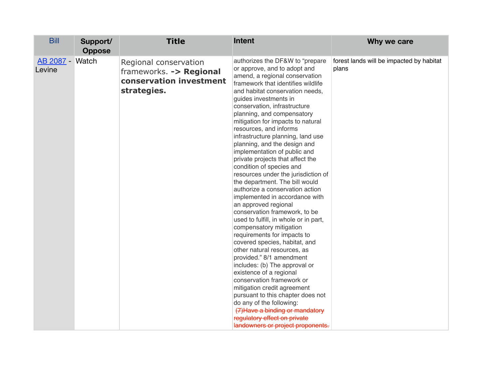| <b>Bill</b>               | Support/<br><b>Oppose</b> | <b>Title</b>                                                                               | <b>Intent</b>                                                                                                                                                                                                                                                                                                                                                                                                                                                                                                                                                                                                                                                                                                                                                                                                                                                                                                                                                                                                                                                                                                                                                                                                | Why we care                                       |
|---------------------------|---------------------------|--------------------------------------------------------------------------------------------|--------------------------------------------------------------------------------------------------------------------------------------------------------------------------------------------------------------------------------------------------------------------------------------------------------------------------------------------------------------------------------------------------------------------------------------------------------------------------------------------------------------------------------------------------------------------------------------------------------------------------------------------------------------------------------------------------------------------------------------------------------------------------------------------------------------------------------------------------------------------------------------------------------------------------------------------------------------------------------------------------------------------------------------------------------------------------------------------------------------------------------------------------------------------------------------------------------------|---------------------------------------------------|
| AB 2087 - Watch<br>Levine |                           | Regional conservation<br>frameworks. -> Regional<br>conservation investment<br>strategies. | authorizes the DF&W to "prepare<br>or approve, and to adopt and<br>amend, a regional conservation<br>framework that identifies wildlife<br>and habitat conservation needs,<br>guides investments in<br>conservation, infrastructure<br>planning, and compensatory<br>mitigation for impacts to natural<br>resources, and informs<br>infrastructure planning, land use<br>planning, and the design and<br>implementation of public and<br>private projects that affect the<br>condition of species and<br>resources under the jurisdiction of<br>the department. The bill would<br>authorize a conservation action<br>implemented in accordance with<br>an approved regional<br>conservation framework, to be<br>used to fulfill, in whole or in part,<br>compensatory mitigation<br>requirements for impacts to<br>covered species, habitat, and<br>other natural resources, as<br>provided." 8/1 amendment<br>includes: (b) The approval or<br>existence of a regional<br>conservation framework or<br>mitigation credit agreement<br>pursuant to this chapter does not<br>do any of the following:<br>(7) Have a binding or mandatory<br>regulatory effect on private<br>landowners or project proponents. | forest lands will be impacted by habitat<br>plans |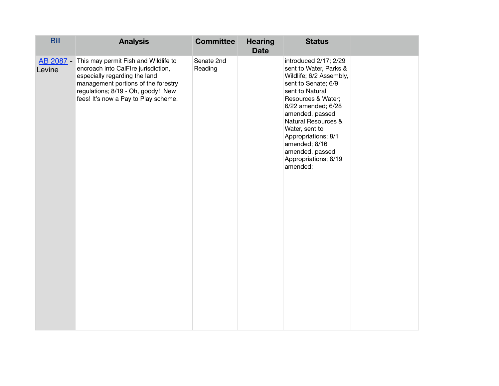| <b>Bill</b> | <b>Analysis</b>                                                                                                                                                                                                                             | <b>Committee</b>      | <b>Hearing</b><br><b>Date</b> | <b>Status</b>                                                                                                                                                                                                                                                                                                                          |  |
|-------------|---------------------------------------------------------------------------------------------------------------------------------------------------------------------------------------------------------------------------------------------|-----------------------|-------------------------------|----------------------------------------------------------------------------------------------------------------------------------------------------------------------------------------------------------------------------------------------------------------------------------------------------------------------------------------|--|
| Levine      | AB 2087 - This may permit Fish and Wildlife to<br>encroach into CalFIre jurisdiction,<br>especially regarding the land<br>management portions of the forestry<br>regulations; 8/19 - Oh, goody! New<br>fees! It's now a Pay to Play scheme. | Senate 2nd<br>Reading |                               | introduced 2/17; 2/29<br>sent to Water, Parks &<br>Wildlife; 6/2 Assembly,<br>sent to Senate; 6/9<br>sent to Natural<br>Resources & Water;<br>6/22 amended; 6/28<br>amended, passed<br><b>Natural Resources &amp;</b><br>Water, sent to<br>Appropriations; 8/1<br>amended; 8/16<br>amended, passed<br>Appropriations; 8/19<br>amended; |  |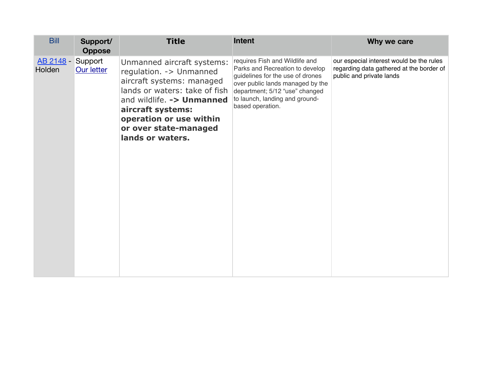| <b>Bill</b>                | Support/<br><b>Oppose</b> | <b>Title</b>                                                                                                                                                                                                                                    | Intent                                                                                                                                                                                                                            | Why we care                                                                                                      |
|----------------------------|---------------------------|-------------------------------------------------------------------------------------------------------------------------------------------------------------------------------------------------------------------------------------------------|-----------------------------------------------------------------------------------------------------------------------------------------------------------------------------------------------------------------------------------|------------------------------------------------------------------------------------------------------------------|
| <u>AB 2148 -</u><br>Holden | Support<br>Our letter     | Unmanned aircraft systems:<br>regulation. - > Unmanned<br>aircraft systems: managed<br>lands or waters: take of fish<br>and wildlife. - > Unmanned<br>aircraft systems:<br>operation or use within<br>or over state-managed<br>lands or waters. | requires Fish and Wildlife and<br>Parks and Recreation to develop<br>guidelines for the use of drones<br>over public lands managed by the<br>department; 5/12 "use" changed<br>to launch, landing and ground-<br>based operation. | our especial interest would be the rules<br>regarding data gathered at the border of<br>public and private lands |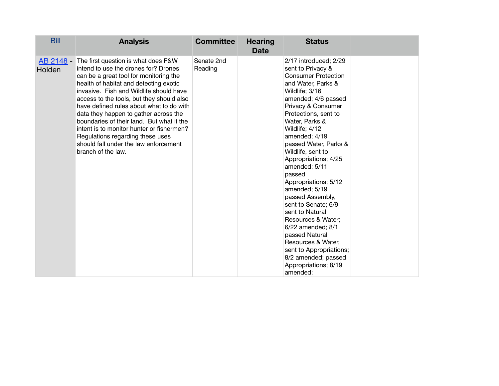| <b>Bill</b>         | <b>Analysis</b>                                                                                                                                                                                                                                                                                                                                                                                                                                                                                                                           | <b>Committee</b>      | <b>Hearing</b><br><b>Date</b> | <b>Status</b>                                                                                                                                                                                                                                                                                                                                                                                                                                                                                                                                                                                                               |  |
|---------------------|-------------------------------------------------------------------------------------------------------------------------------------------------------------------------------------------------------------------------------------------------------------------------------------------------------------------------------------------------------------------------------------------------------------------------------------------------------------------------------------------------------------------------------------------|-----------------------|-------------------------------|-----------------------------------------------------------------------------------------------------------------------------------------------------------------------------------------------------------------------------------------------------------------------------------------------------------------------------------------------------------------------------------------------------------------------------------------------------------------------------------------------------------------------------------------------------------------------------------------------------------------------------|--|
| AB 2148 -<br>Holden | The first question is what does F&W<br>intend to use the drones for? Drones<br>can be a great tool for monitoring the<br>health of habitat and detecting exotic<br>invasive. Fish and Wildlife should have<br>access to the tools, but they should also<br>have defined rules about what to do with<br>data they happen to gather across the<br>boundaries of their land. But what it the<br>intent is to monitor hunter or fishermen?<br>Regulations regarding these uses<br>should fall under the law enforcement<br>branch of the law. | Senate 2nd<br>Reading |                               | 2/17 introduced; 2/29<br>sent to Privacy &<br><b>Consumer Protection</b><br>and Water, Parks &<br>Wildlife; 3/16<br>amended; 4/6 passed<br>Privacy & Consumer<br>Protections, sent to<br>Water, Parks &<br>Wildlife; 4/12<br>amended; 4/19<br>passed Water, Parks &<br>Wildlife, sent to<br>Appropriations; 4/25<br>amended; 5/11<br>passed<br>Appropriations; 5/12<br>amended; 5/19<br>passed Assembly,<br>sent to Senate; 6/9<br>sent to Natural<br>Resources & Water;<br>6/22 amended; 8/1<br>passed Natural<br>Resources & Water,<br>sent to Appropriations;<br>8/2 amended; passed<br>Appropriations; 8/19<br>amended; |  |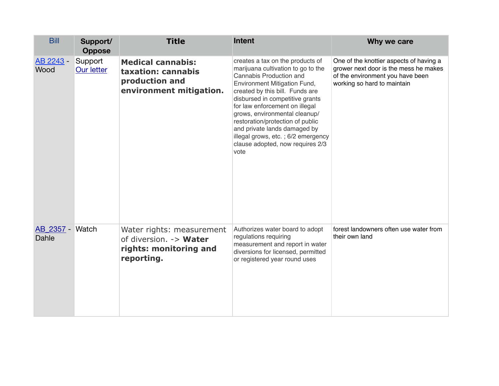| <b>Bill</b>              | Support/<br><b>Oppose</b>    | <b>Title</b>                                                                                | <b>Intent</b>                                                                                                                                                                                                                                                                                                                                                                                                                    | Why we care                                                                                                                                         |
|--------------------------|------------------------------|---------------------------------------------------------------------------------------------|----------------------------------------------------------------------------------------------------------------------------------------------------------------------------------------------------------------------------------------------------------------------------------------------------------------------------------------------------------------------------------------------------------------------------------|-----------------------------------------------------------------------------------------------------------------------------------------------------|
| AB 2243 -<br>Wood        | Support<br><b>Our letter</b> | <b>Medical cannabis:</b><br>taxation: cannabis<br>production and<br>environment mitigation. | creates a tax on the products of<br>marijuana cultivation to go to the<br>Cannabis Production and<br>Environment Mitigation Fund,<br>created by this bill. Funds are<br>disbursed in competitive grants<br>for law enforcement on illegal<br>grows, environmental cleanup/<br>restoration/protection of public<br>and private lands damaged by<br>illegal grows, etc.; 6/2 emergency<br>clause adopted, now requires 2/3<br>vote | One of the knottier aspects of having a<br>grower next door is the mess he makes<br>of the environment you have been<br>working so hard to maintain |
| AB 2357 - Watch<br>Dahle |                              | Water rights: measurement<br>of diversion. -> Water<br>rights: monitoring and<br>reporting. | Authorizes water board to adopt<br>regulations requiring<br>measurement and report in water<br>diversions for licensed, permitted<br>or registered year round uses                                                                                                                                                                                                                                                               | forest landowners often use water from<br>their own land                                                                                            |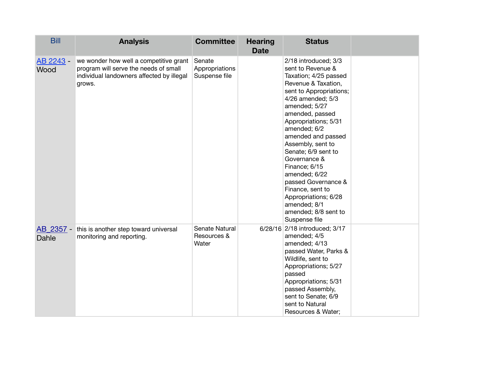| <b>Bill</b>       | <b>Analysis</b>                                                                                                                        | <b>Committee</b>                          | <b>Hearing</b><br><b>Date</b> | <b>Status</b>                                                                                                                                                                                                                                                                                                                                                                                                                                                         |  |
|-------------------|----------------------------------------------------------------------------------------------------------------------------------------|-------------------------------------------|-------------------------------|-----------------------------------------------------------------------------------------------------------------------------------------------------------------------------------------------------------------------------------------------------------------------------------------------------------------------------------------------------------------------------------------------------------------------------------------------------------------------|--|
| AB 2243 -<br>Wood | we wonder how well a competitive grant<br>program will serve the needs of small<br>individual landowners affected by illegal<br>grows. | Senate<br>Appropriations<br>Suspense file |                               | 2/18 introduced; 3/3<br>sent to Revenue &<br>Taxation; 4/25 passed<br>Revenue & Taxation,<br>sent to Appropriations;<br>4/26 amended; 5/3<br>amended; 5/27<br>amended, passed<br>Appropriations; 5/31<br>amended; 6/2<br>amended and passed<br>Assembly, sent to<br>Senate; 6/9 sent to<br>Governance &<br>Finance; 6/15<br>amended; 6/22<br>passed Governance &<br>Finance, sent to<br>Appropriations; 6/28<br>amended; 8/1<br>amended; 8/8 sent to<br>Suspense file |  |
| Dahle             | AB 2357 - this is another step toward universal<br>monitoring and reporting.                                                           | Senate Natural<br>Resources &<br>Water    |                               | 6/28/16 2/18 introduced; 3/17<br>amended; 4/5<br>amended; 4/13<br>passed Water, Parks &<br>Wildlife, sent to<br>Appropriations; 5/27<br>passed<br>Appropriations; 5/31<br>passed Assembly,<br>sent to Senate; 6/9<br>sent to Natural<br>Resources & Water;                                                                                                                                                                                                            |  |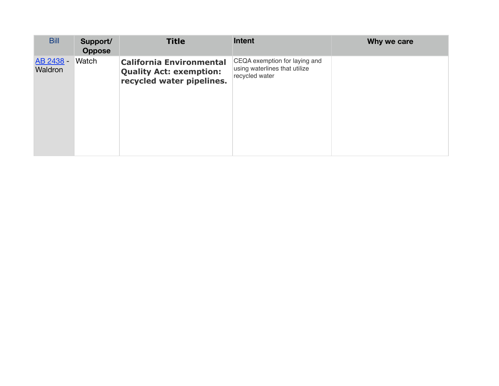| <b>Bill</b>          | Support/<br><b>Oppose</b> | <b>Title</b>                                                                                   | Intent                                                                           | Why we care |
|----------------------|---------------------------|------------------------------------------------------------------------------------------------|----------------------------------------------------------------------------------|-------------|
| AB 2438 -<br>Waldron | Watch                     | <b>California Environmental</b><br><b>Quality Act: exemption:</b><br>recycled water pipelines. | CEQA exemption for laying and<br>using waterlines that utilize<br>recycled water |             |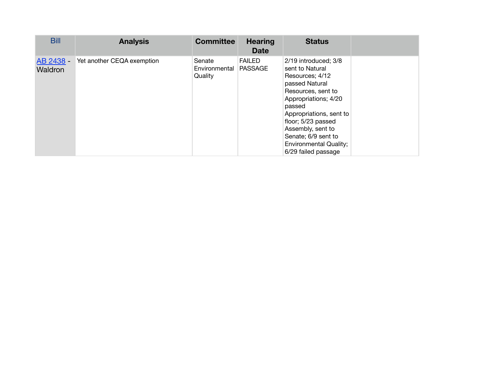| <b>Bill</b>          | <b>Analysis</b>            | <b>Committee</b>                   | <b>Hearing</b><br><b>Date</b>   | <b>Status</b>                                                                                                                                                                                                                                                                             |  |
|----------------------|----------------------------|------------------------------------|---------------------------------|-------------------------------------------------------------------------------------------------------------------------------------------------------------------------------------------------------------------------------------------------------------------------------------------|--|
| AB 2438 -<br>Waldron | Yet another CEQA exemption | Senate<br>Environmental<br>Quality | <b>FAILED</b><br><b>PASSAGE</b> | 2/19 introduced; 3/8<br>sent to Natural<br>Resources; 4/12<br>passed Natural<br>Resources, sent to<br>Appropriations; 4/20<br>passed<br>Appropriations, sent to<br>floor; 5/23 passed<br>Assembly, sent to<br>Senate; 6/9 sent to<br><b>Environmental Quality;</b><br>6/29 failed passage |  |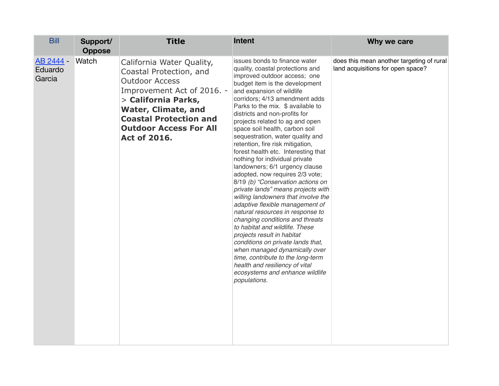| <b>Bill</b>                    | Support/<br><b>Oppose</b> | <b>Title</b>                                                                                                                                                                                                                                              | <b>Intent</b>                                                                                                                                                                                                                                                                                                                                                                                                                                                                                                                                                                                                                                                                                                                                                                                                                                                                                                                                                                                                                                                   | Why we care                                                                    |
|--------------------------------|---------------------------|-----------------------------------------------------------------------------------------------------------------------------------------------------------------------------------------------------------------------------------------------------------|-----------------------------------------------------------------------------------------------------------------------------------------------------------------------------------------------------------------------------------------------------------------------------------------------------------------------------------------------------------------------------------------------------------------------------------------------------------------------------------------------------------------------------------------------------------------------------------------------------------------------------------------------------------------------------------------------------------------------------------------------------------------------------------------------------------------------------------------------------------------------------------------------------------------------------------------------------------------------------------------------------------------------------------------------------------------|--------------------------------------------------------------------------------|
| AB 2444 -<br>Eduardo<br>Garcia | Watch                     | California Water Quality,<br>Coastal Protection, and<br><b>Outdoor Access</b><br>Improvement Act of 2016. -<br>> California Parks,<br><b>Water, Climate, and</b><br><b>Coastal Protection and</b><br><b>Outdoor Access For All</b><br><b>Act of 2016.</b> | issues bonds to finance water<br>quality, coastal protections and<br>improved outdoor access; one<br>budget item is the development<br>and expansion of wildlife<br>corridors; 4/13 amendment adds<br>Parks to the mix. \$ available to<br>districts and non-profits for<br>projects related to ag and open<br>space soil health, carbon soil<br>sequestration, water quality and<br>retention, fire risk mitigation,<br>forest health etc. Interesting that<br>nothing for individual private<br>landowners; 6/1 urgency clause<br>adopted, now requires 2/3 vote;<br>8/19 (b) "Conservation actions on<br>private lands" means projects with<br>willing landowners that involve the<br>adaptive flexible management of<br>natural resources in response to<br>changing conditions and threats<br>to habitat and wildlife. These<br>projects result in habitat<br>conditions on private lands that,<br>when managed dynamically over<br>time, contribute to the long-term<br>health and resiliency of vital<br>ecosystems and enhance wildlife<br>populations. | does this mean another targeting of rural<br>land acquisitions for open space? |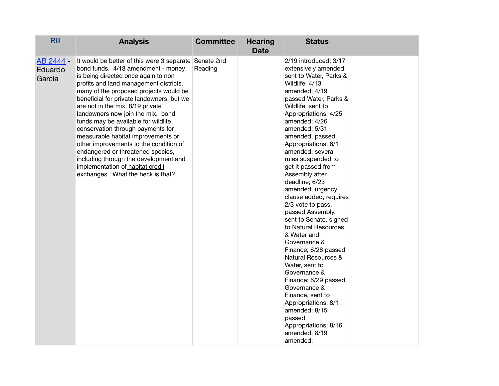| <b>Bill</b>                    | <b>Analysis</b>                                                                                                                                                                                                                                                                                                                                                                                                                                                                                                                                                                                                                                                 | <b>Committee</b> | <b>Hearing</b><br><b>Date</b> | <b>Status</b>                                                                                                                                                                                                                                                                                                                                                                                                                                                                                                                                                                                                                                                                                                                                                                                |  |
|--------------------------------|-----------------------------------------------------------------------------------------------------------------------------------------------------------------------------------------------------------------------------------------------------------------------------------------------------------------------------------------------------------------------------------------------------------------------------------------------------------------------------------------------------------------------------------------------------------------------------------------------------------------------------------------------------------------|------------------|-------------------------------|----------------------------------------------------------------------------------------------------------------------------------------------------------------------------------------------------------------------------------------------------------------------------------------------------------------------------------------------------------------------------------------------------------------------------------------------------------------------------------------------------------------------------------------------------------------------------------------------------------------------------------------------------------------------------------------------------------------------------------------------------------------------------------------------|--|
| AB 2444 -<br>Eduardo<br>Garcia | It would be better of this were 3 separate Senate 2nd<br>bond funds. 4/13 amendment - money<br>is being directed once again to non<br>profits and land management districts.<br>many of the proposed projects would be<br>beneficial for private landowners, but we<br>are not in the mix. 8/19 private<br>landowners now join the mix. bond<br>funds may be available for wildlife<br>conservation through payments for<br>measurable habitat improvements or<br>other improvements to the condition of<br>endangered or threatened species,<br>including through the development and<br>implementation of habitat credit<br>exchanges. What the heck is that? | Reading          |                               | 2/19 introduced; 3/17<br>extensively amended;<br>sent to Water, Parks &<br>Wildlife; 4/13<br>amended; 4/19<br>passed Water, Parks &<br>Wildlife, sent to<br>Appropriations; 4/25<br>amended; 4/26<br>amended; 5/31<br>amended, passed<br>Appropriations; 6/1<br>amended; several<br>rules suspended to<br>get it passed from<br>Assembly after<br>deadline; 6/23<br>amended, urgency<br>clause added, requires<br>2/3 vote to pass,<br>passed Assembly,<br>sent to Senate, signed<br>to Natural Resources<br>& Water and<br>Governance &<br>Finance; 6/28 passed<br>Natural Resources &<br>Water, sent to<br>Governance &<br>Finance; 6/29 passed<br>Governance &<br>Finance, sent to<br>Appropriations; 8/1<br>amended; 8/15<br>passed<br>Appropriations; 8/16<br>amended; 8/19<br>amended: |  |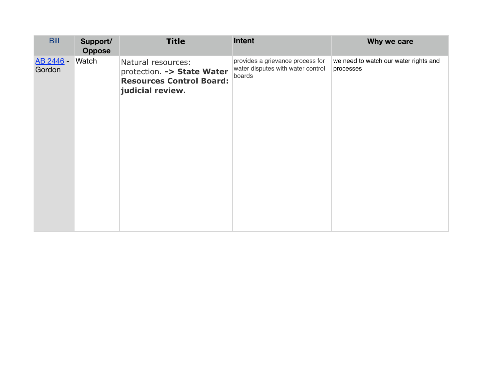| <b>Bill</b>                | Support/<br><b>Oppose</b> | <b>Title</b>                                                                                            | Intent                                                                          | Why we care                                        |
|----------------------------|---------------------------|---------------------------------------------------------------------------------------------------------|---------------------------------------------------------------------------------|----------------------------------------------------|
| <u>AB 2446</u> -<br>Gordon | <b>Watch</b>              | Natural resources:<br>protection. -> State Water<br><b>Resources Control Board:</b><br>judicial review. | provides a grievance process for<br>water disputes with water control<br>boards | we need to watch our water rights and<br>processes |
|                            |                           |                                                                                                         |                                                                                 |                                                    |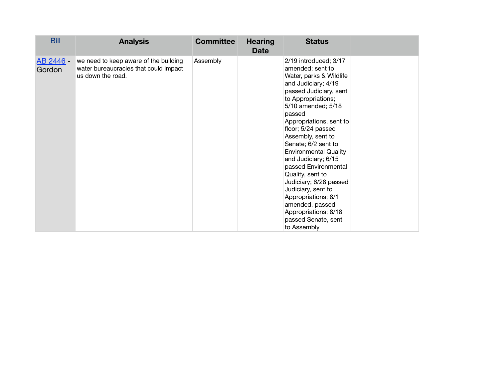| <b>Bill</b>         | <b>Analysis</b>                                                                                     | <b>Committee</b> | <b>Hearing</b><br><b>Date</b> | <b>Status</b>                                                                                                                                                                                                                                                                                                                                                                                                                                                                                                                       |  |
|---------------------|-----------------------------------------------------------------------------------------------------|------------------|-------------------------------|-------------------------------------------------------------------------------------------------------------------------------------------------------------------------------------------------------------------------------------------------------------------------------------------------------------------------------------------------------------------------------------------------------------------------------------------------------------------------------------------------------------------------------------|--|
| AB 2446 -<br>Gordon | we need to keep aware of the building<br>water bureaucracies that could impact<br>us down the road. | Assembly         |                               | 2/19 introduced; 3/17<br>amended; sent to<br>Water, parks & Wildlife<br>and Judiciary; 4/19<br>passed Judiciary, sent<br>to Appropriations;<br>5/10 amended; 5/18<br>passed<br>Appropriations, sent to<br>floor; 5/24 passed<br>Assembly, sent to<br>Senate; 6/2 sent to<br><b>Environmental Quality</b><br>and Judiciary; 6/15<br>passed Environmental<br>Quality, sent to<br>Judiciary; 6/28 passed<br>Judiciary, sent to<br>Appropriations; 8/1<br>amended, passed<br>Appropriations; 8/18<br>passed Senate, sent<br>to Assembly |  |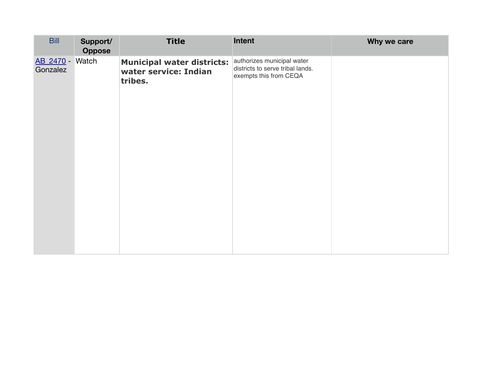| <b>Bill</b>                 | Support/<br>Oppose | <b>Title</b>                                                          | Intent                                                                                   | Why we care |
|-----------------------------|--------------------|-----------------------------------------------------------------------|------------------------------------------------------------------------------------------|-------------|
| AB 2470 - Watch<br>Gonzalez |                    | <b>Municipal water districts:</b><br>water service: Indian<br>tribes. | authorizes municipal water<br>districts to serve tribal lands.<br>exempts this from CEQA |             |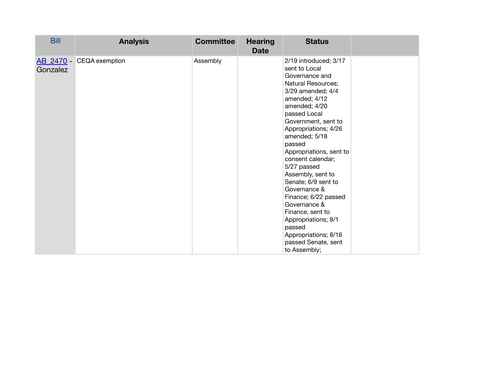| <b>Bill</b> | <b>Analysis</b>          | <b>Committee</b> | <b>Hearing</b><br><b>Date</b> | <b>Status</b>                                                                                                                                                                                                                                                                                                                                                                                                                                                                                                          |  |
|-------------|--------------------------|------------------|-------------------------------|------------------------------------------------------------------------------------------------------------------------------------------------------------------------------------------------------------------------------------------------------------------------------------------------------------------------------------------------------------------------------------------------------------------------------------------------------------------------------------------------------------------------|--|
| Gonzalez    | AB_2470 - CEQA exemption | Assembly         |                               | 2/19 introduced; 3/17<br>sent to Local<br>Governance and<br>Natural Resources;<br>3/29 amended; 4/4<br>amended; 4/12<br>amended; 4/20<br>passed Local<br>Government, sent to<br>Appropriations; 4/26<br>amended; 5/18<br>passed<br>Appropriations, sent to<br>consent calendar;<br>5/27 passed<br>Assembly, sent to<br>Senate; 6/9 sent to<br>Governance &<br>Finance; 6/22 passed<br>Governance &<br>Finance, sent to<br>Appropriations; 8/1<br>passed<br>Appropriations; 8/16<br>passed Senate, sent<br>to Assembly; |  |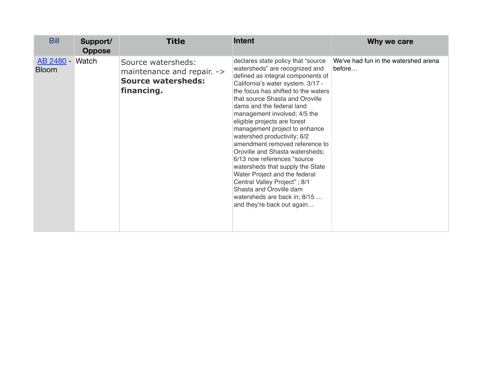| <b>Bill</b>                     | Support/<br><b>Oppose</b> | <b>Title</b>                                                                                | Intent                                                                                                                                                                                                                                                                                                                                                                                                                                                                                                                                                                                                                                                                                   | Why we care                                    |
|---------------------------------|---------------------------|---------------------------------------------------------------------------------------------|------------------------------------------------------------------------------------------------------------------------------------------------------------------------------------------------------------------------------------------------------------------------------------------------------------------------------------------------------------------------------------------------------------------------------------------------------------------------------------------------------------------------------------------------------------------------------------------------------------------------------------------------------------------------------------------|------------------------------------------------|
| AB 2480 - Watch<br><b>Bloom</b> |                           | Source watersheds:<br>maintenance and repair. -><br><b>Source watersheds:</b><br>financing. | declares state policy that "source<br>watersheds" are recognized and<br>defined as integral components of<br>California's water system. 3/17 -<br>the focus has shifted to the waters<br>that source Shasta and Oroville<br>dams and the federal land<br>management involved; 4/5 the<br>eligible projects are forest<br>management project to enhance<br>watershed productivity; 6/2<br>amendment removed reference to<br>Oroville and Shasta watersheds;<br>6/13 now references "source"<br>watersheds that supply the State<br>Water Project and the federal<br>Central Valley Project"; 8/1<br>Shasta and Oroville dam<br>watersheds are back in; 8/15<br>and they're back out again | We've had fun in the watershed arena<br>before |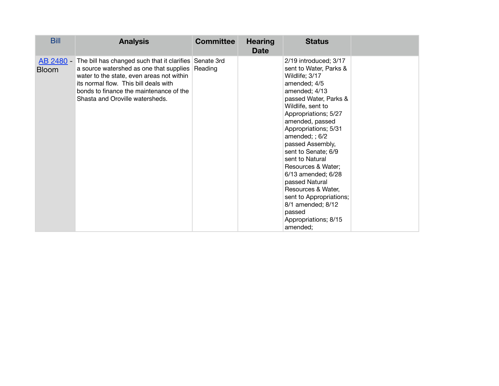| <b>Bill</b>               | <b>Analysis</b>                                                                                                                                                                                                                                                       | <b>Committee</b> | <b>Hearing</b><br><b>Date</b> | <b>Status</b>                                                                                                                                                                                                                                                                                                                                                                                                                                                                           |  |
|---------------------------|-----------------------------------------------------------------------------------------------------------------------------------------------------------------------------------------------------------------------------------------------------------------------|------------------|-------------------------------|-----------------------------------------------------------------------------------------------------------------------------------------------------------------------------------------------------------------------------------------------------------------------------------------------------------------------------------------------------------------------------------------------------------------------------------------------------------------------------------------|--|
| AB 2480 -<br><b>Bloom</b> | The bill has changed such that it clarifies Senate 3rd<br>a source watershed as one that supplies<br>water to the state, even areas not within<br>its normal flow. This bill deals with<br>bonds to finance the maintenance of the<br>Shasta and Oroville watersheds. | Reading          |                               | 2/19 introduced; 3/17<br>sent to Water, Parks &<br>Wildlife; 3/17<br>amended; 4/5<br>amended; 4/13<br>passed Water, Parks &<br>Wildlife, sent to<br>Appropriations; 5/27<br>amended, passed<br>Appropriations; 5/31<br>amended; $; 6/2$<br>passed Assembly,<br>sent to Senate; 6/9<br>sent to Natural<br>Resources & Water;<br>6/13 amended; 6/28<br>passed Natural<br>Resources & Water,<br>sent to Appropriations;<br>8/1 amended; 8/12<br>passed<br>Appropriations; 8/15<br>amended; |  |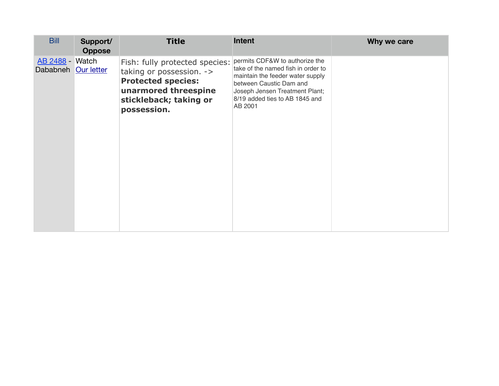| <b>Bill</b>                                   | Support/<br><b>Oppose</b> | <b>Title</b>                                                                                                                                             | <b>Intent</b>                                                                                                                                                                                                      | Why we care |
|-----------------------------------------------|---------------------------|----------------------------------------------------------------------------------------------------------------------------------------------------------|--------------------------------------------------------------------------------------------------------------------------------------------------------------------------------------------------------------------|-------------|
| <b>AB 2488 - Watch</b><br>Dababneh Our letter |                           | Fish: fully protected species:<br>taking or possession. -><br><b>Protected species:</b><br>unarmored threespine<br>stickleback; taking or<br>possession. | permits CDF&W to authorize the<br>take of the named fish in order to<br>maintain the feeder water supply<br>between Caustic Dam and<br>Joseph Jensen Treatment Plant;<br>8/19 added ties to AB 1845 and<br>AB 2001 |             |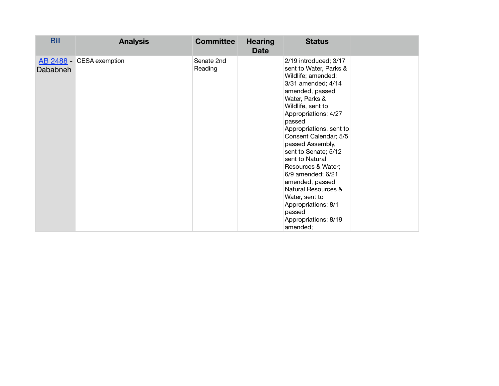| <b>Bill</b> | <b>Analysis</b>          | <b>Committee</b>      | <b>Hearing</b><br><b>Date</b> | <b>Status</b>                                                                                                                                                                                                                                                                                                                                                                                                                                                                          |  |
|-------------|--------------------------|-----------------------|-------------------------------|----------------------------------------------------------------------------------------------------------------------------------------------------------------------------------------------------------------------------------------------------------------------------------------------------------------------------------------------------------------------------------------------------------------------------------------------------------------------------------------|--|
| Dababneh    | AB 2488 - CESA exemption | Senate 2nd<br>Reading |                               | 2/19 introduced; 3/17<br>sent to Water, Parks &<br>Wildlife; amended;<br>3/31 amended; 4/14<br>amended, passed<br>Water, Parks &<br>Wildlife, sent to<br>Appropriations; 4/27<br>passed<br>Appropriations, sent to<br>Consent Calendar; 5/5<br>passed Assembly,<br>sent to Senate; 5/12<br>sent to Natural<br>Resources & Water;<br>6/9 amended; 6/21<br>amended, passed<br>Natural Resources &<br>Water, sent to<br>Appropriations; 8/1<br>passed<br>Appropriations; 8/19<br>amended; |  |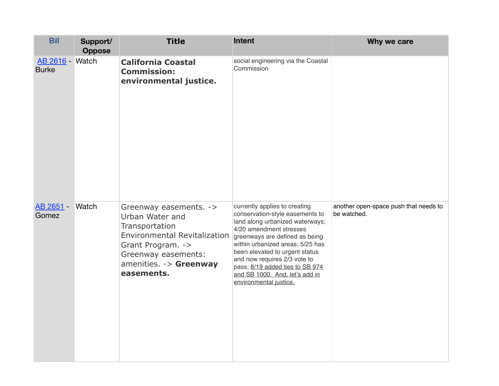| <b>Bill</b>                            | Support/<br><b>Oppose</b> | <b>Title</b>                                                                                                                                                                            | Intent                                                                                                                                                                                                                                                                                                                                                                | Why we care                                          |
|----------------------------------------|---------------------------|-----------------------------------------------------------------------------------------------------------------------------------------------------------------------------------------|-----------------------------------------------------------------------------------------------------------------------------------------------------------------------------------------------------------------------------------------------------------------------------------------------------------------------------------------------------------------------|------------------------------------------------------|
| <b>AB 2616 - Watch</b><br><b>Burke</b> |                           | <b>California Coastal</b><br><b>Commission:</b><br>environmental justice.                                                                                                               | social engineering via the Coastal<br>Commission                                                                                                                                                                                                                                                                                                                      |                                                      |
| <b>AB 2651 - Watch</b><br>Gomez        |                           | Greenway easements. -><br>Urban Water and<br>Transportation<br><b>Environmental Revitalization</b><br>Grant Program. -><br>Greenway easements:<br>amenities. - > Greenway<br>easements. | currently applies to creating<br>conservation-style easements to<br>land along urbanized waterways;<br>4/20 amendment stresses<br>greenways are defined as being<br>within urbanized areas; 5/25 has<br>been elevated to urgent status<br>and now requires 2/3 vote to<br>pass; 8/19 added ties to SB 974<br>and SB 1000. And, let's add in<br>environmental justice, | another open-space push that needs to<br>be watched. |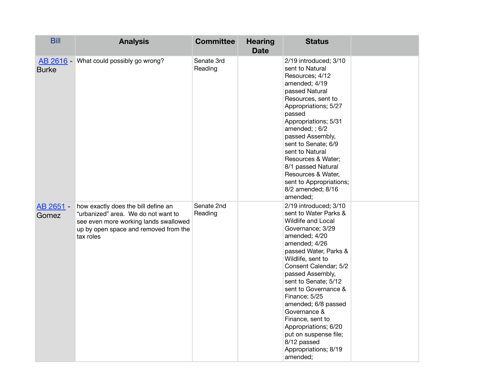| <b>Bill</b>        | <b>Analysis</b>                                                                                                                                                           | <b>Committee</b>      | <b>Hearing</b><br><b>Date</b> | <b>Status</b>                                                                                                                                                                                                                                                                                                                                                                                                                                         |  |
|--------------------|---------------------------------------------------------------------------------------------------------------------------------------------------------------------------|-----------------------|-------------------------------|-------------------------------------------------------------------------------------------------------------------------------------------------------------------------------------------------------------------------------------------------------------------------------------------------------------------------------------------------------------------------------------------------------------------------------------------------------|--|
| <b>Burke</b>       | AB 2616 - What could possibly go wrong?                                                                                                                                   | Senate 3rd<br>Reading |                               | 2/19 introduced; 3/10<br>sent to Natural<br>Resources; 4/12<br>amended; 4/19<br>passed Natural<br>Resources, sent to<br>Appropriations; 5/27<br>passed<br>Appropriations; 5/31<br>amended; ; 6/2<br>passed Assembly,<br>sent to Senate; 6/9<br>sent to Natural<br>Resources & Water;<br>8/1 passed Natural<br>Resources & Water,<br>sent to Appropriations;<br>8/2 amended; 8/16<br>amended;                                                          |  |
| AB 2651 -<br>Gomez | how exactly does the bill define an<br>"urbanized" area. We do not want to<br>see even more working lands swallowed<br>up by open space and removed from the<br>tax roles | Senate 2nd<br>Reading |                               | 2/19 introduced; 3/10<br>sent to Water Parks &<br>Wildlife and Local<br>Governance; 3/29<br>amended; 4/20<br>amended; 4/26<br>passed Water, Parks &<br>Wildlife, sent to<br>Consent Calendar; 5/2<br>passed Assembly,<br>sent to Senate; 5/12<br>sent to Governance &<br>Finance; 5/25<br>amended; 6/8 passed<br>Governance &<br>Finance, sent to<br>Appropriations; 6/20<br>put on suspense file;<br>8/12 passed<br>Appropriations; 8/19<br>amended; |  |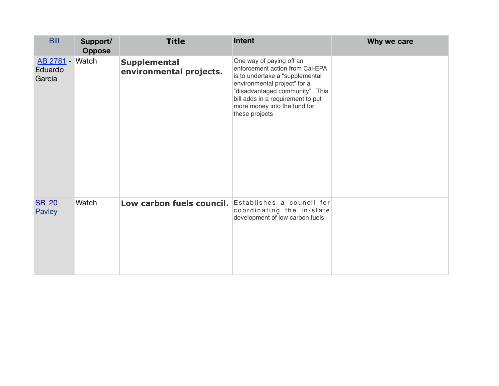| Support/<br><b>Oppose</b> | <b>Title</b>                                   | Intent                                                                                                                                                                                                                                                   | Why we care                                         |
|---------------------------|------------------------------------------------|----------------------------------------------------------------------------------------------------------------------------------------------------------------------------------------------------------------------------------------------------------|-----------------------------------------------------|
|                           | <b>Supplemental</b><br>environmental projects. | One way of paying off an<br>enforcement action from Cal-EPA<br>is to undertake a "supplemental<br>environmental project" for a<br>"disadvantaged community". This<br>bill adds in a requirement to put<br>more money into the fund for<br>these projects |                                                     |
| Watch                     |                                                | coordinating the in-state<br>development of low carbon fuels                                                                                                                                                                                             |                                                     |
|                           | AB 2781 - Watch                                |                                                                                                                                                                                                                                                          | Low carbon fuels council. Establishes a council for |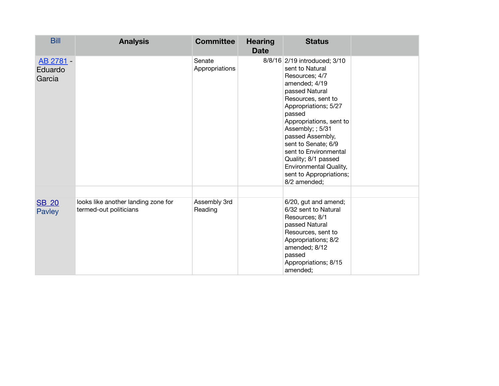| <b>Bill</b>                    | <b>Analysis</b>                                               | <b>Committee</b>         | <b>Hearing</b><br><b>Date</b> | <b>Status</b>                                                                                                                                                                                                                                                                                                                                                               |  |
|--------------------------------|---------------------------------------------------------------|--------------------------|-------------------------------|-----------------------------------------------------------------------------------------------------------------------------------------------------------------------------------------------------------------------------------------------------------------------------------------------------------------------------------------------------------------------------|--|
| AB 2781 -<br>Eduardo<br>Garcia |                                                               | Senate<br>Appropriations |                               | 8/8/16 2/19 introduced; 3/10<br>sent to Natural<br>Resources; 4/7<br>amended; 4/19<br>passed Natural<br>Resources, sent to<br>Appropriations; 5/27<br>passed<br>Appropriations, sent to<br>Assembly; ; 5/31<br>passed Assembly,<br>sent to Senate; 6/9<br>sent to Environmental<br>Quality; 8/1 passed<br>Environmental Quality,<br>sent to Appropriations;<br>8/2 amended; |  |
| <b>SB 20</b><br>Pavley         | looks like another landing zone for<br>termed-out politicians | Assembly 3rd<br>Reading  |                               | 6/20, gut and amend;<br>6/32 sent to Natural<br>Resources; 8/1<br>passed Natural<br>Resources, sent to<br>Appropriations; 8/2<br>amended; 8/12<br>passed<br>Appropriations; 8/15<br>amended;                                                                                                                                                                                |  |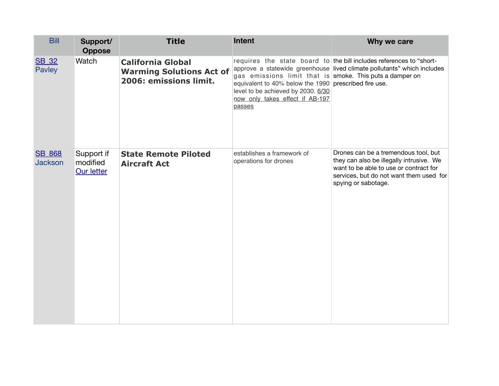| <b>Bill</b>                     | Support/<br><b>Oppose</b>                   | <b>Title</b>                                                                          | <b>Intent</b>                                                                                                                                                                                        | Why we care                                                                                                                                                                                  |  |
|---------------------------------|---------------------------------------------|---------------------------------------------------------------------------------------|------------------------------------------------------------------------------------------------------------------------------------------------------------------------------------------------------|----------------------------------------------------------------------------------------------------------------------------------------------------------------------------------------------|--|
| <b>SB_32</b><br>Pavley          | Watch                                       | <b>California Global</b><br><b>Warming Solutions Act of</b><br>2006: emissions limit. | gas emissions limit that is smoke. This puts a damper on<br>equivalent to 40% below the 1990 prescribed fire use.<br>level to be achieved by 2030. 6/30<br>now only takes effect if AB-197<br>passes | requires the state board to the bill includes references to "short-<br>approve a statewide greenhouse lived climate pollutants" which includes                                               |  |
| <b>SB 868</b><br><b>Jackson</b> | Support if<br>modified<br><b>Our letter</b> | <b>State Remote Piloted</b><br><b>Aircraft Act</b>                                    | establishes a framework of<br>operations for drones                                                                                                                                                  | Drones can be a tremendous tool, but<br>they can also be illegally intrusive. We<br>want to be able to use or contract for<br>services, but do not want them used for<br>spying or sabotage. |  |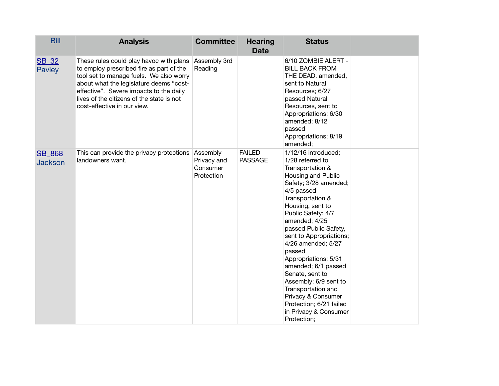| <b>Bill</b>                     | <b>Analysis</b>                                                                                                                                                                                                                                                                                  | <b>Committee</b>                                  | <b>Hearing</b><br><b>Date</b>   | <b>Status</b>                                                                                                                                                                                                                                                                                                                                                                                                                                                                                         |  |
|---------------------------------|--------------------------------------------------------------------------------------------------------------------------------------------------------------------------------------------------------------------------------------------------------------------------------------------------|---------------------------------------------------|---------------------------------|-------------------------------------------------------------------------------------------------------------------------------------------------------------------------------------------------------------------------------------------------------------------------------------------------------------------------------------------------------------------------------------------------------------------------------------------------------------------------------------------------------|--|
| <b>SB_32</b><br>Pavley          | These rules could play havoc with plans<br>to employ prescribed fire as part of the<br>tool set to manage fuels. We also worry<br>about what the legislature deems "cost-<br>effective". Severe impacts to the daily<br>lives of the citizens of the state is not<br>cost-effective in our view. | Assembly 3rd<br>Reading                           |                                 | 6/10 ZOMBIE ALERT -<br><b>BILL BACK FROM</b><br>THE DEAD. amended,<br>sent to Natural<br>Resources; 6/27<br>passed Natural<br>Resources, sent to<br>Appropriations; 6/30<br>amended; 8/12<br>passed<br>Appropriations; 8/19<br>amended;                                                                                                                                                                                                                                                               |  |
| <b>SB 868</b><br><b>Jackson</b> | This can provide the privacy protections<br>landowners want.                                                                                                                                                                                                                                     | Assembly<br>Privacy and<br>Consumer<br>Protection | <b>FAILED</b><br><b>PASSAGE</b> | 1/12/16 introduced;<br>1/28 referred to<br>Transportation &<br>Housing and Public<br>Safety; 3/28 amended;<br>4/5 passed<br>Transportation &<br>Housing, sent to<br>Public Safety; 4/7<br>amended; 4/25<br>passed Public Safety,<br>sent to Appropriations;<br>4/26 amended; 5/27<br>passed<br>Appropriations; 5/31<br>amended; 6/1 passed<br>Senate, sent to<br>Assembly; 6/9 sent to<br>Transportation and<br>Privacy & Consumer<br>Protection; 6/21 failed<br>in Privacy & Consumer<br>Protection; |  |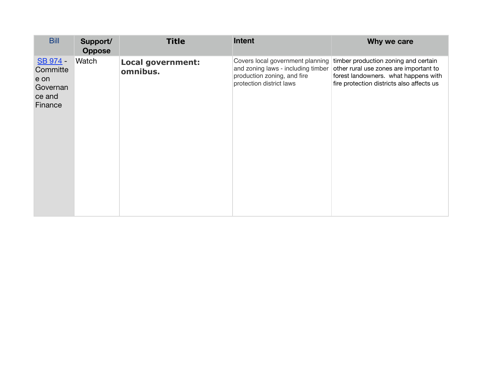| <b>Bill</b>                                                   | Support/<br><b>Oppose</b> | <b>Title</b>                         | Intent                                                                                                                            | Why we care                                                                                                                                                         |
|---------------------------------------------------------------|---------------------------|--------------------------------------|-----------------------------------------------------------------------------------------------------------------------------------|---------------------------------------------------------------------------------------------------------------------------------------------------------------------|
| SB 974 -<br>Committe<br>e on<br>Governan<br>ce and<br>Finance | Watch                     | <b>Local government:</b><br>omnibus. | Covers local government planning<br>and zoning laws - including timber<br>production zoning, and fire<br>protection district laws | timber production zoning and certain<br>other rural use zones are important to<br>forest landowners. what happens with<br>fire protection districts also affects us |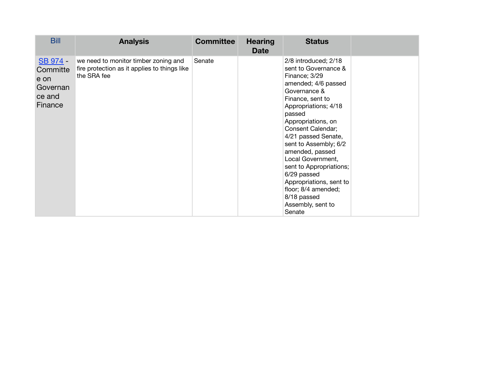| <b>Bill</b>                                                   | <b>Analysis</b>                                                                                     | <b>Committee</b> | <b>Hearing</b><br>Date | <b>Status</b>                                                                                                                                                                                                                                                                                                                                                                                                                           |  |
|---------------------------------------------------------------|-----------------------------------------------------------------------------------------------------|------------------|------------------------|-----------------------------------------------------------------------------------------------------------------------------------------------------------------------------------------------------------------------------------------------------------------------------------------------------------------------------------------------------------------------------------------------------------------------------------------|--|
| SB 974 -<br>Committe<br>e on<br>Governan<br>ce and<br>Finance | we need to monitor timber zoning and<br>fire protection as it applies to things like<br>the SRA fee | Senate           |                        | 2/8 introduced; 2/18<br>sent to Governance &<br>Finance; 3/29<br>amended; 4/6 passed<br>Governance &<br>Finance, sent to<br>Appropriations; 4/18<br>passed<br>Appropriations, on<br>Consent Calendar;<br>4/21 passed Senate,<br>sent to Assembly; 6/2<br>amended, passed<br>Local Government,<br>sent to Appropriations;<br>6/29 passed<br>Appropriations, sent to<br>floor; 8/4 amended;<br>8/18 passed<br>Assembly, sent to<br>Senate |  |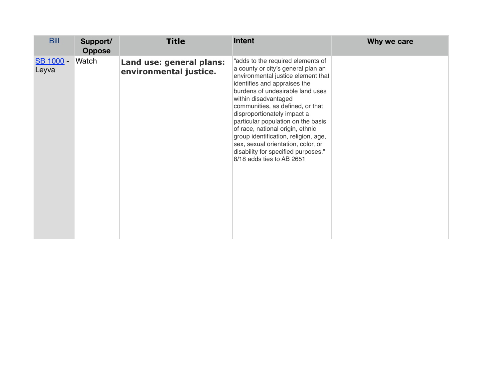| <b>Bill</b>        | Support/<br><b>Oppose</b> | <b>Title</b>                                       | <b>Intent</b>                                                                                                                                                                                                                                                                                                                                                                                                                                                                                            | Why we care |
|--------------------|---------------------------|----------------------------------------------------|----------------------------------------------------------------------------------------------------------------------------------------------------------------------------------------------------------------------------------------------------------------------------------------------------------------------------------------------------------------------------------------------------------------------------------------------------------------------------------------------------------|-------------|
| SB 1000 -<br>Leyva | Watch                     | Land use: general plans:<br>environmental justice. | "adds to the required elements of<br>a county or city's general plan an<br>environmental justice element that<br>identifies and appraises the<br>burdens of undesirable land uses<br>within disadvantaged<br>communities, as defined, or that<br>disproportionately impact a<br>particular population on the basis<br>of race, national origin, ethnic<br>group identification, religion, age,<br>sex, sexual orientation, color, or<br>disability for specified purposes."<br>8/18 adds ties to AB 2651 |             |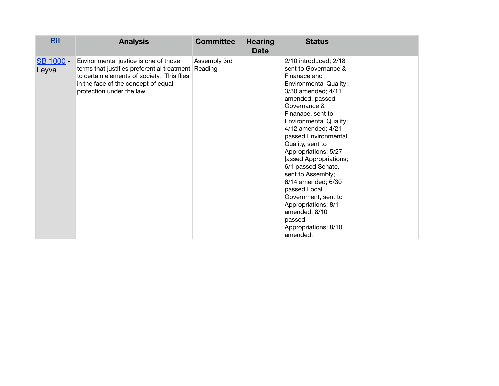| <b>Bill</b>        | <b>Analysis</b>                                                                                                                                                                                                | <b>Committee</b> | <b>Hearing</b><br><b>Date</b> | <b>Status</b>                                                                                                                                                                                                                                                                                                                                                                                                                                                                                                                   |  |
|--------------------|----------------------------------------------------------------------------------------------------------------------------------------------------------------------------------------------------------------|------------------|-------------------------------|---------------------------------------------------------------------------------------------------------------------------------------------------------------------------------------------------------------------------------------------------------------------------------------------------------------------------------------------------------------------------------------------------------------------------------------------------------------------------------------------------------------------------------|--|
| SB 1000 -<br>Leyva | Environmental justice is one of those<br>terms that justifies preferential treatment Reading<br>to certain elements of society. This flies<br>in the face of the concept of equal<br>protection under the law. | Assembly 3rd     |                               | 2/10 introduced; 2/18<br>sent to Governance &<br>Finanace and<br><b>Environmental Quality;</b><br>3/30 amended; 4/11<br>amended, passed<br>Governance &<br>Finanace, sent to<br><b>Environmental Quality;</b><br>4/12 amended; 4/21<br>passed Environmental<br>Quality, sent to<br>Appropriations; 5/27<br>[assed Appropriations;<br>6/1 passed Senate,<br>sent to Assembly;<br>6/14 amended; 6/30<br>passed Local<br>Government, sent to<br>Appropriations; 8/1<br>amended; 8/10<br>passed<br>Appropriations; 8/10<br>amended; |  |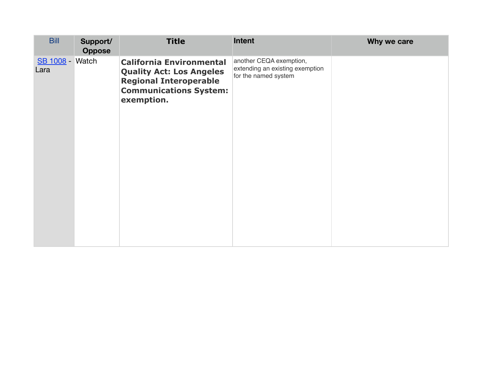| <b>Bill</b>                    | Support/<br><b>Oppose</b> | <b>Title</b>                                                                                                                                       | Intent                                                                             | Why we care |
|--------------------------------|---------------------------|----------------------------------------------------------------------------------------------------------------------------------------------------|------------------------------------------------------------------------------------|-------------|
| <b>SB 1008 - Watch</b><br>Lara |                           | <b>California Environmental</b><br><b>Quality Act: Los Angeles</b><br><b>Regional Interoperable</b><br><b>Communications System:</b><br>exemption. | another CEQA exemption,<br>extending an existing exemption<br>for the named system |             |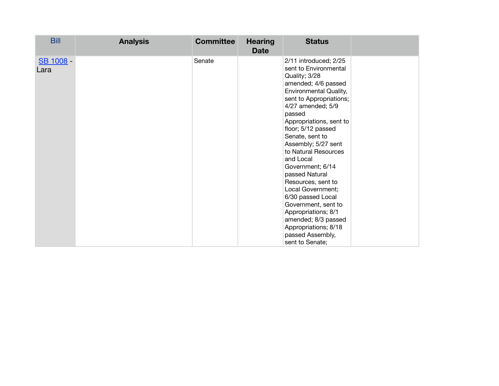| <b>Bill</b>       | <b>Analysis</b> | <b>Committee</b> | <b>Hearing</b><br><b>Date</b> | <b>Status</b>                                                                                                                                                                                                                                                                                                                                                                                                                                                                                                                                        |  |
|-------------------|-----------------|------------------|-------------------------------|------------------------------------------------------------------------------------------------------------------------------------------------------------------------------------------------------------------------------------------------------------------------------------------------------------------------------------------------------------------------------------------------------------------------------------------------------------------------------------------------------------------------------------------------------|--|
| SB 1008 -<br>Lara |                 | Senate           |                               | 2/11 introduced; 2/25<br>sent to Environmental<br>Quality; 3/28<br>amended; 4/6 passed<br>Environmental Quality,<br>sent to Appropriations;<br>4/27 amended; 5/9<br>passed<br>Appropriations, sent to<br>floor; 5/12 passed<br>Senate, sent to<br>Assembly; 5/27 sent<br>to Natural Resources<br>and Local<br>Government; 6/14<br>passed Natural<br>Resources, sent to<br>Local Government;<br>6/30 passed Local<br>Government, sent to<br>Appropriations; 8/1<br>amended; 8/3 passed<br>Appropriations; 8/18<br>passed Assembly,<br>sent to Senate; |  |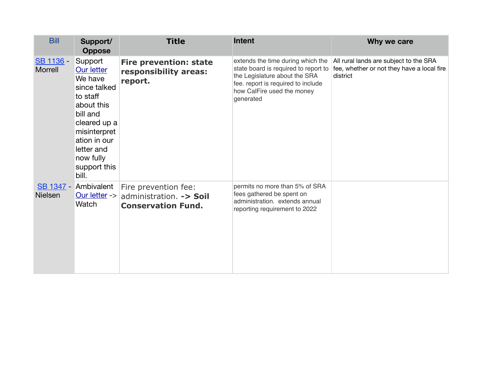| <b>Bill</b>          | Support/<br><b>Oppose</b>                                                                                                                                                                         | <b>Title</b>                                                                 | <b>Intent</b>                                                                                                                                                                               | Why we care                                                                                      |
|----------------------|---------------------------------------------------------------------------------------------------------------------------------------------------------------------------------------------------|------------------------------------------------------------------------------|---------------------------------------------------------------------------------------------------------------------------------------------------------------------------------------------|--------------------------------------------------------------------------------------------------|
| SB 1136 -<br>Morrell | Support<br><b>Our letter</b><br>We have<br>since talked<br>to staff<br>about this<br>bill and<br>cleared up a<br>misinterpret<br>ation in our<br>letter and<br>now fully<br>support this<br>bill. | <b>Fire prevention: state</b><br>responsibility areas:<br>report.            | extends the time during which the<br>state board is required to report to<br>the Legislature about the SRA<br>fee. report is required to include<br>how CalFire used the money<br>generated | All rural lands are subject to the SRA<br>fee, whether or not they have a local fire<br>district |
| <b>Nielsen</b>       | SB 1347 - Ambivalent<br>Our letter -><br>Watch                                                                                                                                                    | Fire prevention fee:<br>administration. -> Soil<br><b>Conservation Fund.</b> | permits no more than 5% of SRA<br>fees gathered be spent on<br>administration. extends annual<br>reporting requirement to 2022                                                              |                                                                                                  |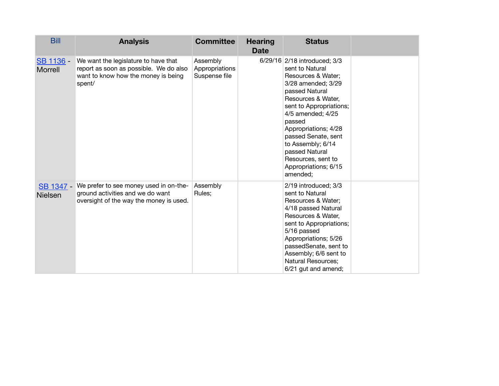| <b>Bill</b>                        | <b>Analysis</b>                                                                                                                 | <b>Committee</b>                            | <b>Hearing</b><br><b>Date</b> | <b>Status</b>                                                                                                                                                                                                                                                                                                                                 |  |
|------------------------------------|---------------------------------------------------------------------------------------------------------------------------------|---------------------------------------------|-------------------------------|-----------------------------------------------------------------------------------------------------------------------------------------------------------------------------------------------------------------------------------------------------------------------------------------------------------------------------------------------|--|
| SB 1136 -<br>Morrell               | We want the legislature to have that<br>report as soon as possible. We do also<br>want to know how the money is being<br>spent/ | Assembly<br>Appropriations<br>Suspense file |                               | 6/29/16 2/18 introduced; 3/3<br>sent to Natural<br>Resources & Water;<br>3/28 amended; 3/29<br>passed Natural<br>Resources & Water,<br>sent to Appropriations;<br>4/5 amended; 4/25<br>passed<br>Appropriations; 4/28<br>passed Senate, sent<br>to Assembly; 6/14<br>passed Natural<br>Resources, sent to<br>Appropriations; 6/15<br>amended; |  |
| <b>SB 1347 -</b><br><b>Nielsen</b> | We prefer to see money used in on-the-<br>ground activities and we do want<br>oversight of the way the money is used.           | Assembly<br>Rules;                          |                               | 2/19 introduced; 3/3<br>sent to Natural<br>Resources & Water;<br>4/18 passed Natural<br>Resources & Water,<br>sent to Appropriations;<br>5/16 passed<br>Appropriations; 5/26<br>passedSenate, sent to<br>Assembly; 6/6 sent to<br>Natural Resources;<br>6/21 gut and amend;                                                                   |  |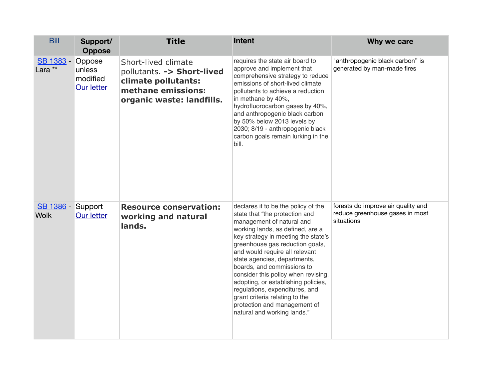| <b>Bill</b>                      | Support/<br><b>Oppose</b>                  | <b>Title</b>                                                                                                                | <b>Intent</b>                                                                                                                                                                                                                                                                                                                                                                                                                                                                                                                     | Why we care                                                                         |
|----------------------------------|--------------------------------------------|-----------------------------------------------------------------------------------------------------------------------------|-----------------------------------------------------------------------------------------------------------------------------------------------------------------------------------------------------------------------------------------------------------------------------------------------------------------------------------------------------------------------------------------------------------------------------------------------------------------------------------------------------------------------------------|-------------------------------------------------------------------------------------|
| SB 1383 -<br>Lara **             | Oppose<br>unless<br>modified<br>Our letter | Short-lived climate<br>pollutants. -> Short-lived<br>climate pollutants:<br>methane emissions:<br>organic waste: landfills. | requires the state air board to<br>approve and implement that<br>comprehensive strategy to reduce<br>emissions of short-lived climate<br>pollutants to achieve a reduction<br>in methane by 40%,<br>hydrofluorocarbon gases by 40%,<br>and anthropogenic black carbon<br>by 50% below 2013 levels by<br>2030; 8/19 - anthropogenic black<br>carbon goals remain lurking in the<br>bill.                                                                                                                                           | "anthropogenic black carbon" is<br>generated by man-made fires                      |
| SB 1386 - Support<br><b>Wolk</b> | <b>Our letter</b>                          | <b>Resource conservation:</b><br>working and natural<br>lands.                                                              | declares it to be the policy of the<br>state that "the protection and<br>management of natural and<br>working lands, as defined, are a<br>key strategy in meeting the state's<br>greenhouse gas reduction goals,<br>and would require all relevant<br>state agencies, departments,<br>boards, and commissions to<br>consider this policy when revising,<br>adopting, or establishing policies,<br>regulations, expenditures, and<br>grant criteria relating to the<br>protection and management of<br>natural and working lands." | forests do improve air quality and<br>reduce greenhouse gases in most<br>situations |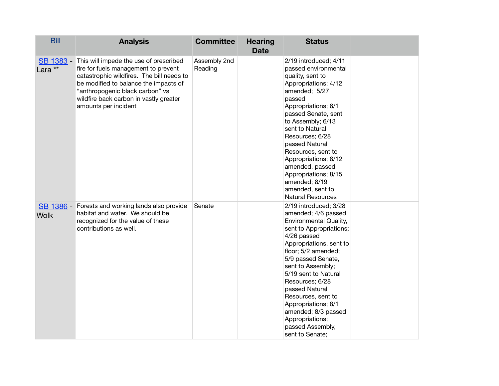| <b>Bill</b>          | <b>Analysis</b>                                                                                                                                                                                                                                                           | <b>Committee</b>        | <b>Hearing</b><br><b>Date</b> | <b>Status</b>                                                                                                                                                                                                                                                                                                                                                                                                   |  |
|----------------------|---------------------------------------------------------------------------------------------------------------------------------------------------------------------------------------------------------------------------------------------------------------------------|-------------------------|-------------------------------|-----------------------------------------------------------------------------------------------------------------------------------------------------------------------------------------------------------------------------------------------------------------------------------------------------------------------------------------------------------------------------------------------------------------|--|
| SB 1383 -<br>Lara ** | This will impede the use of prescribed<br>fire for fuels management to prevent<br>catastrophic wildfires. The bill needs to<br>be modified to balance the impacts of<br>"anthropogenic black carbon" vs<br>wildfire back carbon in vastly greater<br>amounts per incident | Assembly 2nd<br>Reading |                               | 2/19 introduced; 4/11<br>passed environmental<br>quality, sent to<br>Appropriations; 4/12<br>amended; 5/27<br>passed<br>Appropriations; 6/1<br>passed Senate, sent<br>to Assembly; 6/13<br>sent to Natural<br>Resources; 6/28<br>passed Natural<br>Resources, sent to<br>Appropriations; 8/12<br>amended, passed<br>Appropriations; 8/15<br>amended; 8/19<br>amended, sent to<br><b>Natural Resources</b>       |  |
| <b>Wolk</b>          | SB 1386 - Forests and working lands also provide<br>habitat and water. We should be<br>recognized for the value of these<br>contributions as well.                                                                                                                        | Senate                  |                               | 2/19 introduced; 3/28<br>amended; 4/6 passed<br><b>Environmental Quality,</b><br>sent to Appropriations;<br>4/26 passed<br>Appropriations, sent to<br>floor; 5/2 amended;<br>5/9 passed Senate,<br>sent to Assembly;<br>5/19 sent to Natural<br>Resources; 6/28<br>passed Natural<br>Resources, sent to<br>Appropriations; 8/1<br>amended; 8/3 passed<br>Appropriations;<br>passed Assembly,<br>sent to Senate; |  |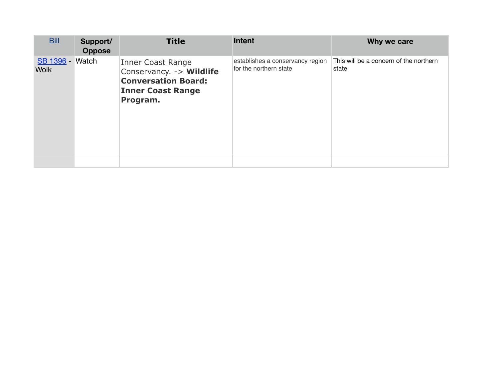| <b>Bill</b>                           | Support/<br><b>Oppose</b> | <b>Title</b>                                                                                                                | <b>Intent</b>                                              | Why we care                                     |
|---------------------------------------|---------------------------|-----------------------------------------------------------------------------------------------------------------------------|------------------------------------------------------------|-------------------------------------------------|
| <b>SB 1396 - Watch</b><br><b>Wolk</b> |                           | <b>Inner Coast Range</b><br>Conservancy. - > Wildlife<br><b>Conversation Board:</b><br><b>Inner Coast Range</b><br>Program. | establishes a conservancy region<br>for the northern state | This will be a concern of the northern<br>state |
|                                       |                           |                                                                                                                             |                                                            |                                                 |